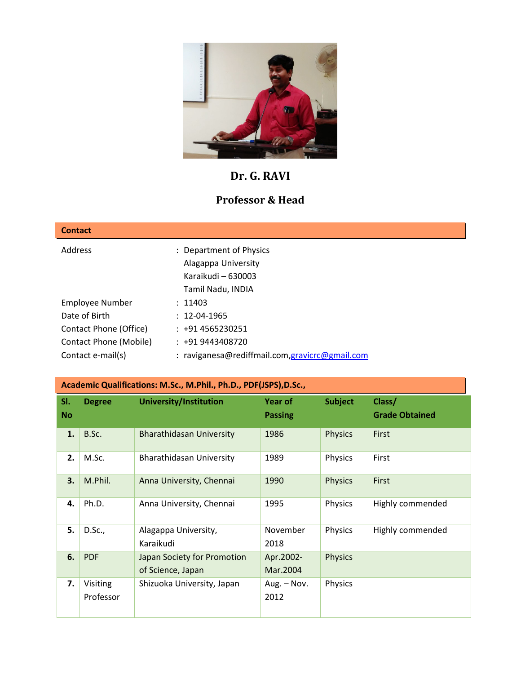

# **Dr. G. RAVI**

# **Professor & Head**

| <b>Contact</b>         |                                                 |
|------------------------|-------------------------------------------------|
| Address                | : Department of Physics                         |
|                        | Alagappa University                             |
|                        | Karaikudi - 630003                              |
|                        | Tamil Nadu, INDIA                               |
| <b>Employee Number</b> | : 11403                                         |
| Date of Birth          | $: 12 - 04 - 1965$                              |
| Contact Phone (Office) | $: +914565230251$                               |
| Contact Phone (Mobile) | $: +919443408720$                               |
| Contact e-mail(s)      | : raviganesa@rediffmail.com, gravicrc@gmail.com |

|                  | Academic Qualifications: M.Sc., M.Phil., Ph.D., PDF(JSPS), D.Sc., |                                                  |                                  |                |                                 |  |  |
|------------------|-------------------------------------------------------------------|--------------------------------------------------|----------------------------------|----------------|---------------------------------|--|--|
| SI.<br><b>No</b> | <b>Degree</b>                                                     | University/Institution                           | <b>Year of</b><br><b>Passing</b> | <b>Subject</b> | Class/<br><b>Grade Obtained</b> |  |  |
| 1.               | B.Sc.                                                             | <b>Bharathidasan University</b>                  | 1986                             | <b>Physics</b> | First                           |  |  |
| 2.               | M.Sc.                                                             | Bharathidasan University                         | 1989                             | Physics        | First                           |  |  |
| 3.               | M.Phil.                                                           | Anna University, Chennai                         | 1990                             | <b>Physics</b> | First                           |  |  |
| 4.               | Ph.D.                                                             | Anna University, Chennai                         | 1995                             | Physics        | Highly commended                |  |  |
| 5.               | D.Sc.,                                                            | Alagappa University,<br>Karaikudi                | November<br>2018                 | Physics        | Highly commended                |  |  |
| 6.               | <b>PDF</b>                                                        | Japan Society for Promotion<br>of Science, Japan | Apr.2002-<br>Mar.2004            | <b>Physics</b> |                                 |  |  |
| 7.               | Visiting<br>Professor                                             | Shizuoka University, Japan                       | Aug. - Nov.<br>2012              | Physics        |                                 |  |  |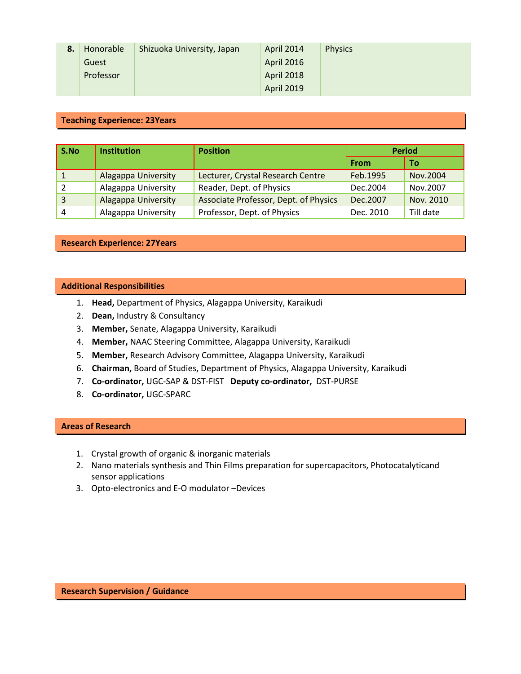| 8. | Honorable | Shizuoka University, Japan | April 2014        | <b>Physics</b> |  |
|----|-----------|----------------------------|-------------------|----------------|--|
|    | Guest     |                            | <b>April 2016</b> |                |  |
|    | Professor |                            | <b>April 2018</b> |                |  |
|    |           |                            | <b>April 2019</b> |                |  |

## **Teaching Experience: 23Years**

| S.No | <b>Institution</b>         | <b>Position</b>                       | <b>Period</b> |           |
|------|----------------------------|---------------------------------------|---------------|-----------|
|      |                            |                                       | From          | To        |
|      | Alagappa University        | Lecturer, Crystal Research Centre     | Feb.1995      | Nov.2004  |
|      | Alagappa University        | Reader, Dept. of Physics              | Dec.2004      | Nov.2007  |
| 3    | <b>Alagappa University</b> | Associate Professor, Dept. of Physics | Dec.2007      | Nov. 2010 |
| 4    | Alagappa University        | Professor, Dept. of Physics           | Dec. 2010     | Till date |

### **Research Experience: 27Years**

#### **Additional Responsibilities**

- 1. **Head,** Department of Physics, Alagappa University, Karaikudi
- 2. **Dean,** Industry & Consultancy
- 3. **Member,** Senate, Alagappa University, Karaikudi
- 4. **Member,** NAAC Steering Committee, Alagappa University, Karaikudi
- 5. **Member,** Research Advisory Committee, Alagappa University, Karaikudi
- 6. **Chairman,** Board of Studies, Department of Physics, Alagappa University, Karaikudi
- 7. **Co-ordinator,** UGC-SAP & DST-FIST **Deputy co-ordinator,** DST-PURSE
- 8. **Co-ordinator,** UGC-SPARC

## **Areas of Research**

- 1. Crystal growth of organic & inorganic materials
- 2. Nano materials synthesis and Thin Films preparation for supercapacitors, Photocatalyticand sensor applications
- 3. Opto-electronics and E-O modulator –Devices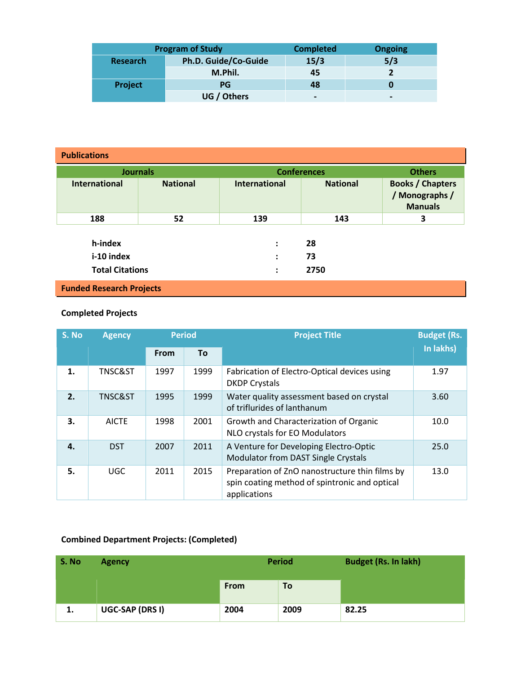|                 | <b>Program of Study</b> | <b>Completed</b>         | <b>Ongoing</b>           |
|-----------------|-------------------------|--------------------------|--------------------------|
| <b>Research</b> | Ph.D. Guide/Co-Guide    | 15/3                     | 5/3                      |
|                 | M.Phil.                 | 45                       |                          |
| Project         | PG                      | 48                       |                          |
|                 | UG / Others             | $\overline{\phantom{0}}$ | $\overline{\phantom{0}}$ |

| <b>Publications</b>             |                 |                      |                    |                                                             |  |
|---------------------------------|-----------------|----------------------|--------------------|-------------------------------------------------------------|--|
| <b>Journals</b>                 |                 |                      | <b>Conferences</b> |                                                             |  |
| International                   | <b>National</b> | <b>International</b> | <b>National</b>    | <b>Books / Chapters</b><br>/ Monographs /<br><b>Manuals</b> |  |
| 188                             | 52              | 139                  | 143                | 3                                                           |  |
| h-index                         |                 | $\ddot{\cdot}$       | 28                 |                                                             |  |
| i-10 index                      |                 | $\ddot{\cdot}$       | 73                 |                                                             |  |
| <b>Total Citations</b>          |                 | $\ddot{\cdot}$       | 2750               |                                                             |  |
| <b>Funded Research Projects</b> |                 |                      |                    |                                                             |  |

# **Completed Projects**

| S. No | <b>Agency</b>      | <b>Period</b> |      | <b>Project Title</b>                                                                                            | <b>Budget (Rs.</b> |
|-------|--------------------|---------------|------|-----------------------------------------------------------------------------------------------------------------|--------------------|
|       |                    | From          | To   |                                                                                                                 | In lakhs)          |
| 1.    | <b>TNSC&amp;ST</b> | 1997          | 1999 | Fabrication of Electro-Optical devices using<br><b>DKDP Crystals</b>                                            | 1.97               |
| 2.    | <b>TNSC&amp;ST</b> | 1995          | 1999 | Water quality assessment based on crystal<br>of triflurides of lanthanum                                        | 3.60               |
| 3.    | <b>AICTE</b>       | 1998          | 2001 | Growth and Characterization of Organic<br>NLO crystals for EO Modulators                                        | 10.0               |
| 4.    | <b>DST</b>         | 2007          | 2011 | A Venture for Developing Electro-Optic<br>Modulator from DAST Single Crystals                                   | 25.0               |
| 5.    | <b>UGC</b>         | 2011          | 2015 | Preparation of ZnO nanostructure thin films by<br>spin coating method of spintronic and optical<br>applications | 13.0               |

# **Combined Department Projects: (Completed)**

| S. No | <b>Agency</b>   |             | <b>Period</b> | <b>Budget (Rs. In lakh)</b> |
|-------|-----------------|-------------|---------------|-----------------------------|
|       |                 | <b>From</b> | <b>To</b>     |                             |
| 1.    | UGC-SAP (DRS I) | 2004        | 2009          | 82.25                       |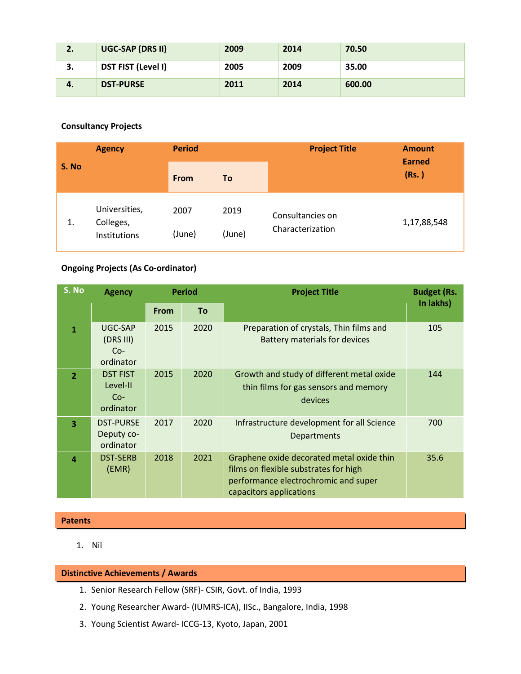| 2. | UGC-SAP (DRS II)          | 2009 | 2014 | 70.50  |
|----|---------------------------|------|------|--------|
| J. | <b>DST FIST (Level I)</b> | 2005 | 2009 | 35.00  |
| 4. | <b>DST-PURSE</b>          | 2011 | 2014 | 600.00 |

# **Consultancy Projects**

| <b>Agency</b> |                                            | <b>Period</b>  |                | <b>Project Title</b>                 | <b>Amount</b>          |  |
|---------------|--------------------------------------------|----------------|----------------|--------------------------------------|------------------------|--|
| S. No         |                                            | <b>From</b>    | To             |                                      | <b>Earned</b><br>(Rs.) |  |
| 1.            | Universities,<br>Colleges,<br>Institutions | 2007<br>(June) | 2019<br>(June) | Consultancies on<br>Characterization | 1,17,88,548            |  |

# **Ongoing Projects (As Co-ordinator)**

| S. No                   | <b>Agency</b>                                     | <b>Period</b> |           | <b>Project Title</b>                                                                                                                                  | <b>Budget (Rs.</b> |
|-------------------------|---------------------------------------------------|---------------|-----------|-------------------------------------------------------------------------------------------------------------------------------------------------------|--------------------|
|                         |                                                   | From          | <b>To</b> |                                                                                                                                                       | In lakhs)          |
| 1                       | UGC-SAP<br>(DRS III)<br>$Co-$<br>ordinator        | 2015          | 2020      | Preparation of crystals, Thin films and<br>Battery materials for devices                                                                              | 105                |
| $\overline{2}$          | <b>DST FIST</b><br>Level-II<br>$Co-$<br>ordinator | 2015          | 2020      | Growth and study of different metal oxide<br>thin films for gas sensors and memory<br>devices                                                         | 144                |
| $\overline{\mathbf{3}}$ | <b>DST-PURSE</b><br>Deputy co-<br>ordinator       | 2017          | 2020      | Infrastructure development for all Science<br><b>Departments</b>                                                                                      | 700                |
| $\Delta$                | <b>DST-SERB</b><br>(EMR)                          | 2018          | 2021      | Graphene oxide decorated metal oxide thin<br>films on flexible substrates for high<br>performance electrochromic and super<br>capacitors applications | 35.6               |

# **Patents**

1. Nil

## **Distinctive Achievements / Awards**

- 1. Senior Research Fellow (SRF)- CSIR, Govt. of India, 1993
- 2. Young Researcher Award- (IUMRS-ICA), IISc., Bangalore, India, 1998
- 3. Young Scientist Award- ICCG-13, Kyoto, Japan, 2001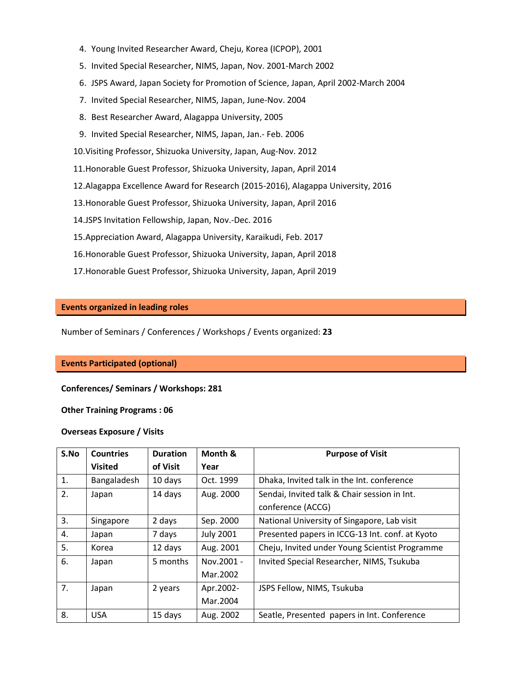- 4. Young Invited Researcher Award, Cheju, Korea (ICPOP), 2001
- 5. Invited Special Researcher, NIMS, Japan, Nov. 2001-March 2002
- 6. JSPS Award, Japan Society for Promotion of Science, Japan, April 2002-March 2004
- 7. Invited Special Researcher, NIMS, Japan, June-Nov. 2004
- 8. Best Researcher Award, Alagappa University, 2005
- 9. Invited Special Researcher, NIMS, Japan, Jan.- Feb. 2006
- 10.Visiting Professor, Shizuoka University, Japan, Aug-Nov. 2012
- 11.Honorable Guest Professor, Shizuoka University, Japan, April 2014
- 12.Alagappa Excellence Award for Research (2015-2016), Alagappa University, 2016
- 13.Honorable Guest Professor, Shizuoka University, Japan, April 2016
- 14.JSPS Invitation Fellowship, Japan, Nov.-Dec. 2016
- 15.Appreciation Award, Alagappa University, Karaikudi, Feb. 2017
- 16.Honorable Guest Professor, Shizuoka University, Japan, April 2018
- 17.Honorable Guest Professor, Shizuoka University, Japan, April 2019

#### **Events organized in leading roles**

Number of Seminars / Conferences / Workshops / Events organized: **23**

#### **Events Participated (optional)**

#### **Conferences/ Seminars / Workshops: 281**

#### **Other Training Programs : 06**

#### **Overseas Exposure / Visits**

| S.No | <b>Countries</b> | <b>Duration</b> | Month &          | <b>Purpose of Visit</b>                         |
|------|------------------|-----------------|------------------|-------------------------------------------------|
|      | <b>Visited</b>   | of Visit        | Year             |                                                 |
| 1.   | Bangaladesh      | 10 days         | Oct. 1999        | Dhaka, Invited talk in the Int. conference      |
| 2.   | Japan            | 14 days         | Aug. 2000        | Sendai, Invited talk & Chair session in Int.    |
|      |                  |                 |                  | conference (ACCG)                               |
| 3.   | Singapore        | 2 days          | Sep. 2000        | National University of Singapore, Lab visit     |
| 4.   | Japan            | 7 days          | <b>July 2001</b> | Presented papers in ICCG-13 Int. conf. at Kyoto |
| 5.   | Korea            | 12 days         | Aug. 2001        | Cheju, Invited under Young Scientist Programme  |
| 6.   | Japan            | 5 months        | Nov.2001 -       | Invited Special Researcher, NIMS, Tsukuba       |
|      |                  |                 | Mar. 2002        |                                                 |
| 7.   | Japan            | 2 years         | Apr.2002-        | JSPS Fellow, NIMS, Tsukuba                      |
|      |                  |                 | Mar.2004         |                                                 |
| 8.   | <b>USA</b>       | 15 days         | Aug. 2002        | Seatle, Presented papers in Int. Conference     |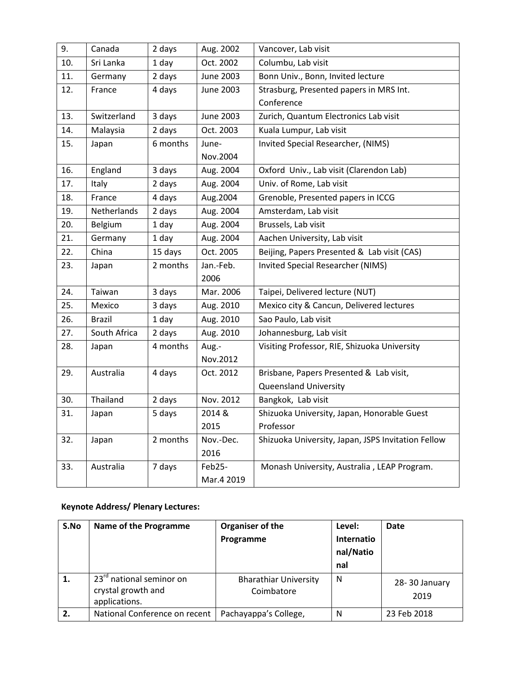| 9.  | Canada        | 2 days   | Aug. 2002        | Vancover, Lab visit                                |
|-----|---------------|----------|------------------|----------------------------------------------------|
| 10. | Sri Lanka     | 1 day    | Oct. 2002        | Columbu, Lab visit                                 |
| 11. | Germany       | 2 days   | <b>June 2003</b> | Bonn Univ., Bonn, Invited lecture                  |
| 12. | France        | 4 days   | <b>June 2003</b> | Strasburg, Presented papers in MRS Int.            |
|     |               |          |                  | Conference                                         |
| 13. | Switzerland   | 3 days   | <b>June 2003</b> | Zurich, Quantum Electronics Lab visit              |
| 14. | Malaysia      | 2 days   | Oct. 2003        | Kuala Lumpur, Lab visit                            |
| 15. | Japan         | 6 months | June-            | Invited Special Researcher, (NIMS)                 |
|     |               |          | Nov.2004         |                                                    |
| 16. | England       | 3 days   | Aug. 2004        | Oxford Univ., Lab visit (Clarendon Lab)            |
| 17. | Italy         | 2 days   | Aug. 2004        | Univ. of Rome, Lab visit                           |
| 18. | France        | 4 days   | Aug.2004         | Grenoble, Presented papers in ICCG                 |
| 19. | Netherlands   | 2 days   | Aug. 2004        | Amsterdam, Lab visit                               |
| 20. | Belgium       | 1 day    | Aug. 2004        | Brussels, Lab visit                                |
| 21. | Germany       | 1 day    | Aug. 2004        | Aachen University, Lab visit                       |
| 22. | China         | 15 days  | Oct. 2005        | Beijing, Papers Presented & Lab visit (CAS)        |
| 23. | Japan         | 2 months | Jan.-Feb.        | Invited Special Researcher (NIMS)                  |
|     |               |          | 2006             |                                                    |
| 24. | Taiwan        | 3 days   | Mar. 2006        | Taipei, Delivered lecture (NUT)                    |
| 25. | Mexico        | 3 days   | Aug. 2010        | Mexico city & Cancun, Delivered lectures           |
| 26. | <b>Brazil</b> | 1 day    | Aug. 2010        | Sao Paulo, Lab visit                               |
| 27. | South Africa  | 2 days   | Aug. 2010        | Johannesburg, Lab visit                            |
| 28. | Japan         | 4 months | Aug.-            | Visiting Professor, RIE, Shizuoka University       |
|     |               |          | Nov.2012         |                                                    |
| 29. | Australia     | 4 days   | Oct. 2012        | Brisbane, Papers Presented & Lab visit,            |
|     |               |          |                  | <b>Queensland University</b>                       |
| 30. | Thailand      | 2 days   | Nov. 2012        | Bangkok, Lab visit                                 |
| 31. | Japan         | 5 days   | 2014 &           | Shizuoka University, Japan, Honorable Guest        |
|     |               |          | 2015             | Professor                                          |
| 32. | Japan         | 2 months | Nov.-Dec.        | Shizuoka University, Japan, JSPS Invitation Fellow |
|     |               |          | 2016             |                                                    |
| 33. | Australia     | 7 days   | Feb25-           | Monash University, Australia, LEAP Program.        |
|     |               |          | Mar.4 2019       |                                                    |

# **Keynote Address/ Plenary Lectures:**

| S.No | Name of the Programme                                                       | Organiser of the<br>Programme              | Level:<br>Internatio<br>nal/Natio<br>nal | <b>Date</b>           |
|------|-----------------------------------------------------------------------------|--------------------------------------------|------------------------------------------|-----------------------|
| 1.   | 23 <sup>rd</sup> national seminor on<br>crystal growth and<br>applications. | <b>Bharathiar University</b><br>Coimbatore | N.                                       | 28-30 January<br>2019 |
| 2.   | National Conference on recent                                               | Pachayappa's College,                      | N                                        | 23 Feb 2018           |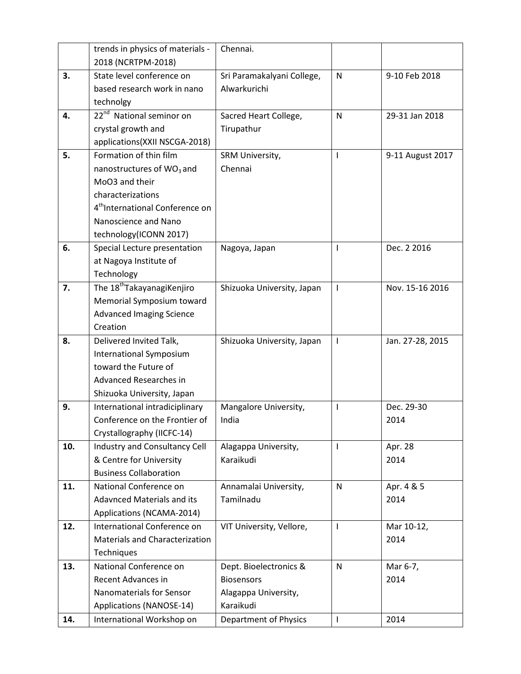|     | trends in physics of materials -            | Chennai.                   |              |                  |
|-----|---------------------------------------------|----------------------------|--------------|------------------|
|     | 2018 (NCRTPM-2018)                          |                            |              |                  |
| 3.  | State level conference on                   | Sri Paramakalyani College, | $\mathsf{N}$ | 9-10 Feb 2018    |
|     | based research work in nano                 | Alwarkurichi               |              |                  |
|     | technolgy                                   |                            |              |                  |
| 4.  | 22 <sup>nd</sup> National seminor on        | Sacred Heart College,      | $\mathsf{N}$ | 29-31 Jan 2018   |
|     | crystal growth and                          | Tirupathur                 |              |                  |
|     | applications(XXII NSCGA-2018)               |                            |              |                  |
| 5.  | Formation of thin film                      | SRM University,            | I            | 9-11 August 2017 |
|     | nanostructures of WO <sub>3</sub> and       | Chennai                    |              |                  |
|     | MoO3 and their                              |                            |              |                  |
|     | characterizations                           |                            |              |                  |
|     | 4 <sup>th</sup> International Conference on |                            |              |                  |
|     | Nanoscience and Nano                        |                            |              |                  |
|     | technology(ICONN 2017)                      |                            |              |                  |
| 6.  | Special Lecture presentation                | Nagoya, Japan              | $\mathbf{I}$ | Dec. 2 2016      |
|     | at Nagoya Institute of                      |                            |              |                  |
|     | Technology                                  |                            |              |                  |
| 7.  | The 18 <sup>th</sup> TakayanagiKenjiro      | Shizuoka University, Japan | $\mathbf{I}$ | Nov. 15-16 2016  |
|     | Memorial Symposium toward                   |                            |              |                  |
|     | <b>Advanced Imaging Science</b>             |                            |              |                  |
|     | Creation                                    |                            |              |                  |
| 8.  | Delivered Invited Talk,                     | Shizuoka University, Japan | $\mathbf{I}$ | Jan. 27-28, 2015 |
|     | International Symposium                     |                            |              |                  |
|     | toward the Future of                        |                            |              |                  |
|     | Advanced Researches in                      |                            |              |                  |
|     | Shizuoka University, Japan                  |                            |              |                  |
| 9.  | International intradiciplinary              | Mangalore University,      | $\mathsf{l}$ | Dec. 29-30       |
|     | Conference on the Frontier of               | India                      |              | 2014             |
|     | Crystallography (IICFC-14)                  |                            |              |                  |
| 10. | Industry and Consultancy Cell               | Alagappa University,       | $\mathbf{I}$ | Apr. 28          |
|     | & Centre for University                     | Karaikudi                  |              | 2014             |
|     | <b>Business Collaboration</b>               |                            |              |                  |
| 11. | National Conference on                      | Annamalai University,      | $\mathsf{N}$ | Apr. 4 & 5       |
|     | <b>Adavnced Materials and its</b>           | Tamilnadu                  |              | 2014             |
|     | Applications (NCAMA-2014)                   |                            |              |                  |
| 12. | International Conference on                 | VIT University, Vellore,   | $\mathbf{I}$ | Mar 10-12,       |
|     | <b>Materials and Characterization</b>       |                            |              | 2014             |
|     | Techniques                                  |                            |              |                  |
| 13. | National Conference on                      | Dept. Bioelectronics &     | N            | Mar 6-7,         |
|     | Recent Advances in                          | <b>Biosensors</b>          |              | 2014             |
|     | Nanomaterials for Sensor                    | Alagappa University,       |              |                  |
|     | Applications (NANOSE-14)                    | Karaikudi                  |              |                  |
| 14. | International Workshop on                   | Department of Physics      | $\mathbf{I}$ | 2014             |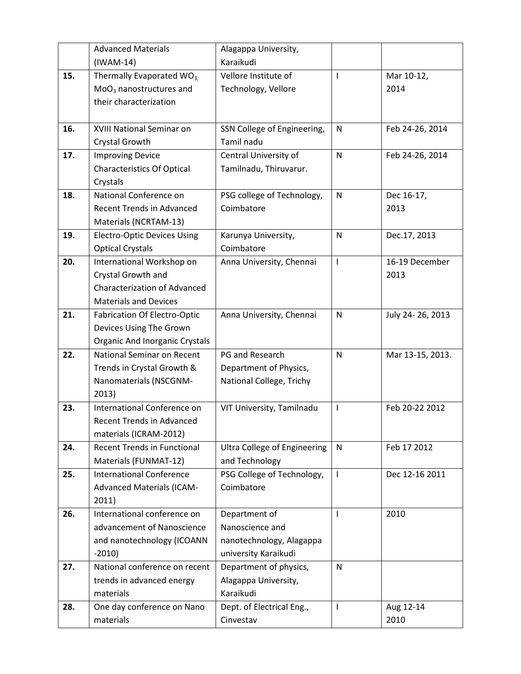|     | <b>Advanced Materials</b>             | Alagappa University,                |                          |                  |
|-----|---------------------------------------|-------------------------------------|--------------------------|------------------|
|     | $(IWAM-14)$                           | Karaikudi                           |                          |                  |
| 15. | Thermally Evaporated WO <sub>3,</sub> | Vellore Institute of                | $\mathbf{I}$             | Mar 10-12,       |
|     | $MoO3$ nanostructures and             | Technology, Vellore                 |                          | 2014             |
|     | their characterization                |                                     |                          |                  |
|     |                                       |                                     |                          |                  |
| 16. | XVIII National Seminar on             | SSN College of Engineering,         | $\mathsf{N}$             | Feb 24-26, 2014  |
|     | Crystal Growth                        | Tamil nadu                          |                          |                  |
| 17. | <b>Improving Device</b>               | Central University of               | N                        | Feb 24-26, 2014  |
|     | <b>Characteristics Of Optical</b>     | Tamilnadu, Thiruvarur.              |                          |                  |
|     | Crystals                              |                                     |                          |                  |
| 18. | National Conference on                | PSG college of Technology,          | $\mathsf{N}$             | Dec 16-17,       |
|     | <b>Recent Trends in Advanced</b>      | Coimbatore                          |                          | 2013             |
|     | Materials (NCRTAM-13)                 |                                     |                          |                  |
| 19. | <b>Electro-Optic Devices Using</b>    | Karunya University,                 | $\mathsf{N}$             | Dec.17, 2013     |
|     | <b>Optical Crystals</b>               | Coimbatore                          |                          |                  |
| 20. | International Workshop on             | Anna University, Chennai            | $\overline{\phantom{a}}$ | 16-19 December   |
|     | Crystal Growth and                    |                                     |                          | 2013             |
|     | <b>Characterization of Advanced</b>   |                                     |                          |                  |
|     | <b>Materials and Devices</b>          |                                     |                          |                  |
| 21. | <b>Fabrication Of Electro-Optic</b>   | Anna University, Chennai            | $\mathsf{N}$             | July 24-26, 2013 |
|     | Devices Using The Grown               |                                     |                          |                  |
|     | Organic And Inorganic Crystals        |                                     |                          |                  |
| 22. | National Seminar on Recent            | PG and Research                     | N                        | Mar 13-15, 2013. |
|     | Trends in Crystal Growth &            | Department of Physics,              |                          |                  |
|     | Nanomaterials (NSCGNM-                | National College, Trichy            |                          |                  |
|     | 2013)                                 |                                     |                          |                  |
| 23. | International Conference on           | VIT University, Tamilnadu           | $\overline{\phantom{a}}$ | Feb 20-22 2012   |
|     | <b>Recent Trends in Advanced</b>      |                                     |                          |                  |
|     | materials (ICRAM-2012)                |                                     |                          |                  |
| 24. | <b>Recent Trends in Functional</b>    | <b>Ultra College of Engineering</b> | N                        | Feb 17 2012      |
|     | Materials (FUNMAT-12)                 | and Technology                      |                          |                  |
| 25. | <b>International Conference</b>       | PSG College of Technology,          | T                        | Dec 12-16 2011   |
|     | <b>Advanced Materials (ICAM-</b>      | Coimbatore                          |                          |                  |
| 26. | 2011)<br>International conference on  | Department of                       | T                        | 2010             |
|     | advancement of Nanoscience            | Nanoscience and                     |                          |                  |
|     | and nanotechnology (ICOANN            | nanotechnology, Alagappa            |                          |                  |
|     | $-2010$                               | university Karaikudi                |                          |                  |
| 27. | National conference on recent         | Department of physics,              | $\mathsf{N}$             |                  |
|     | trends in advanced energy             | Alagappa University,                |                          |                  |
|     | materials                             | Karaikudi                           |                          |                  |
| 28. | One day conference on Nano            | Dept. of Electrical Eng.,           | $\mathbf{I}$             | Aug 12-14        |
|     | materials                             | Cinvestav                           |                          | 2010             |
|     |                                       |                                     |                          |                  |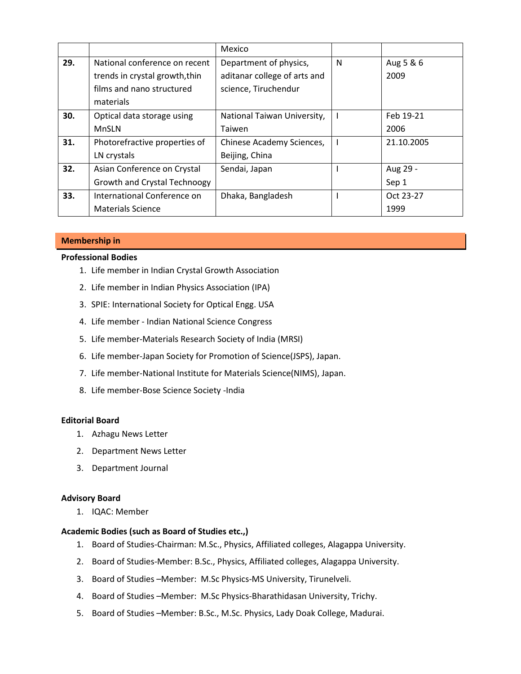|     |                                | Mexico                       |   |            |
|-----|--------------------------------|------------------------------|---|------------|
| 29. | National conference on recent  | Department of physics,       | N | Aug 5 & 6  |
|     | trends in crystal growth, thin | aditanar college of arts and |   | 2009       |
|     | films and nano structured      | science, Tiruchendur         |   |            |
|     | materials                      |                              |   |            |
| 30. | Optical data storage using     | National Taiwan University,  |   | Feb 19-21  |
|     | <b>MnSLN</b>                   | Taiwen                       |   | 2006       |
| 31. | Photorefractive properties of  | Chinese Academy Sciences,    |   | 21.10.2005 |
|     | LN crystals                    | Beijing, China               |   |            |
| 32. | Asian Conference on Crystal    | Sendai, Japan                |   | Aug 29 -   |
|     | Growth and Crystal Technoogy   |                              |   | Sep 1      |
| 33. | International Conference on    | Dhaka, Bangladesh            |   | Oct 23-27  |
|     | <b>Materials Science</b>       |                              |   | 1999       |

## **Membership in**

### **Professional Bodies**

- 1. Life member in Indian Crystal Growth Association
- 2. Life member in Indian Physics Association (IPA)
- 3. SPIE: International Society for Optical Engg. USA
- 4. Life member Indian National Science Congress
- 5. Life member-Materials Research Society of India (MRSI)
- 6. Life member-Japan Society for Promotion of Science(JSPS), Japan.
- 7. Life member-National Institute for Materials Science(NIMS), Japan.
- 8. Life member-Bose Science Society -India

#### **Editorial Board**

- 1. Azhagu News Letter
- 2. Department News Letter
- 3. Department Journal

## **Advisory Board**

1. IQAC: Member

## **Academic Bodies (such as Board of Studies etc.,)**

- 1. Board of Studies-Chairman: M.Sc., Physics, Affiliated colleges, Alagappa University.
- 2. Board of Studies-Member: B.Sc., Physics, Affiliated colleges, Alagappa University.
- 3. Board of Studies –Member: M.Sc Physics-MS University, Tirunelveli.
- 4. Board of Studies –Member: M.Sc Physics-Bharathidasan University, Trichy.
- 5. Board of Studies –Member: B.Sc., M.Sc. Physics, Lady Doak College, Madurai.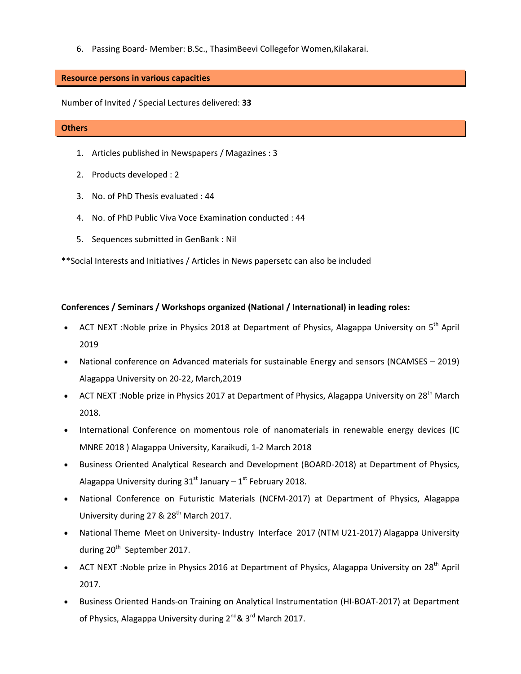6. Passing Board- Member: B.Sc., ThasimBeevi Collegefor Women,Kilakarai.

### **Resource persons in various capacities**

Number of Invited / Special Lectures delivered: **33** 

#### **Others**

- 1. Articles published in Newspapers / Magazines : 3
- 2. Products developed : 2
- 3. No. of PhD Thesis evaluated : 44
- 4. No. of PhD Public Viva Voce Examination conducted : 44
- 5. Sequences submitted in GenBank : Nil

\*\*Social Interests and Initiatives / Articles in News papersetc can also be included

## **Conferences / Seminars / Workshops organized (National / International) in leading roles:**

- ACT NEXT : Noble prize in Physics 2018 at Department of Physics, Alagappa University on 5<sup>th</sup> April 2019
- National conference on Advanced materials for sustainable Energy and sensors (NCAMSES 2019) Alagappa University on 20-22, March,2019
- ACT NEXT: Noble prize in Physics 2017 at Department of Physics, Alagappa University on 28<sup>th</sup> March 2018.
- International Conference on momentous role of nanomaterials in renewable energy devices (IC MNRE 2018 ) Alagappa University, Karaikudi, 1-2 March 2018
- Business Oriented Analytical Research and Development (BOARD-2018) at Department of Physics, Alagappa University during  $31<sup>st</sup>$  January –  $1<sup>st</sup>$  February 2018.
- National Conference on Futuristic Materials (NCFM-2017) at Department of Physics, Alagappa University during 27  $&$  28<sup>th</sup> March 2017.
- National Theme Meet on University- Industry Interface 2017 (NTM U21-2017) Alagappa University during 20<sup>th</sup> September 2017.
- ACT NEXT : Noble prize in Physics 2016 at Department of Physics, Alagappa University on 28<sup>th</sup> April 2017.
- Business Oriented Hands-on Training on Analytical Instrumentation (HI-BOAT-2017) at Department of Physics, Alagappa University during  $2^{nd}$ &  $3^{rd}$  March 2017.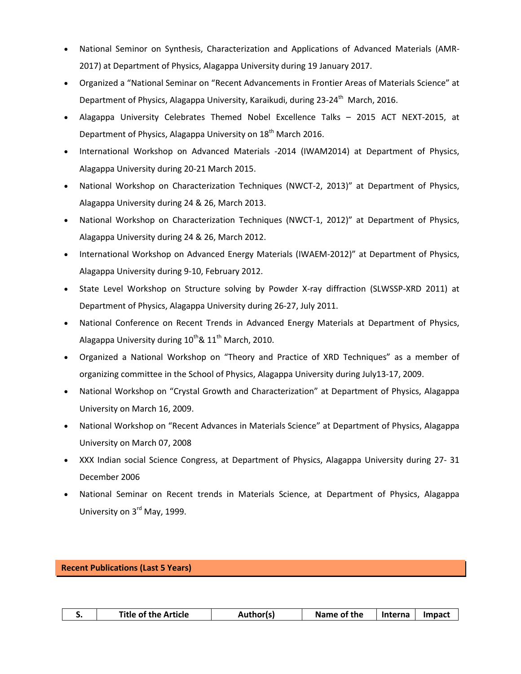- National Seminor on Synthesis, Characterization and Applications of Advanced Materials (AMR-2017) at Department of Physics, Alagappa University during 19 January 2017.
- Organized a "National Seminar on "Recent Advancements in Frontier Areas of Materials Science" at Department of Physics, Alagappa University, Karaikudi, during 23-24<sup>th</sup> March, 2016.
- Alagappa University Celebrates Themed Nobel Excellence Talks 2015 ACT NEXT-2015, at Department of Physics, Alagappa University on 18<sup>th</sup> March 2016.
- International Workshop on Advanced Materials -2014 (IWAM2014) at Department of Physics, Alagappa University during 20-21 March 2015.
- National Workshop on Characterization Techniques (NWCT-2, 2013)" at Department of Physics, Alagappa University during 24 & 26, March 2013.
- National Workshop on Characterization Techniques (NWCT-1, 2012)" at Department of Physics, Alagappa University during 24 & 26, March 2012.
- International Workshop on Advanced Energy Materials (IWAEM-2012)" at Department of Physics, Alagappa University during 9-10, February 2012.
- State Level Workshop on Structure solving by Powder X-ray diffraction (SLWSSP-XRD 2011) at Department of Physics, Alagappa University during 26-27, July 2011.
- National Conference on Recent Trends in Advanced Energy Materials at Department of Physics, Alagappa University during  $10^{th}$ &  $11^{th}$  March, 2010.
- Organized a National Workshop on "Theory and Practice of XRD Techniques" as a member of organizing committee in the School of Physics, Alagappa University during July13-17, 2009.
- National Workshop on "Crystal Growth and Characterization" at Department of Physics, Alagappa University on March 16, 2009.
- National Workshop on "Recent Advances in Materials Science" at Department of Physics, Alagappa University on March 07, 2008
- XXX Indian social Science Congress, at Department of Physics, Alagappa University during 27- 31 December 2006
- National Seminar on Recent trends in Materials Science, at Department of Physics, Alagappa University on 3rd May, 1999.

## **Recent Publications (Last 5 Years)**

| <b>Title of the Article</b><br>Name of the<br>Author(s)<br>lnterna l<br><b>Impact</b> |
|---------------------------------------------------------------------------------------|
|---------------------------------------------------------------------------------------|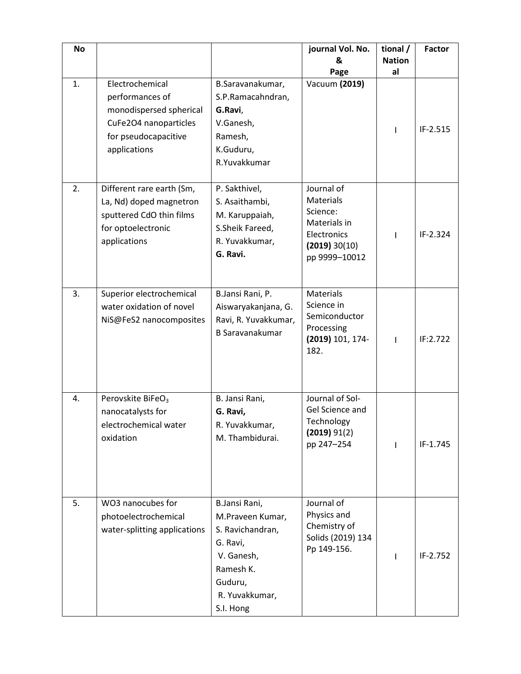| <b>No</b> |                                                                                                                                |                                                                                                                                        | journal Vol. No.<br>&<br>Page                                                                               | tional /<br><b>Nation</b><br>al | <b>Factor</b> |
|-----------|--------------------------------------------------------------------------------------------------------------------------------|----------------------------------------------------------------------------------------------------------------------------------------|-------------------------------------------------------------------------------------------------------------|---------------------------------|---------------|
| 1.        | Electrochemical<br>performances of<br>monodispersed spherical<br>CuFe2O4 nanoparticles<br>for pseudocapacitive<br>applications | B.Saravanakumar,<br>S.P.Ramacahndran,<br>G.Ravi,<br>V.Ganesh,<br>Ramesh,<br>K.Guduru,<br>R.Yuvakkumar                                  | Vacuum (2019)                                                                                               |                                 | IF-2.515      |
| 2.        | Different rare earth (Sm,<br>La, Nd) doped magnetron<br>sputtered CdO thin films<br>for optoelectronic<br>applications         | P. Sakthivel,<br>S. Asaithambi,<br>M. Karuppaiah,<br>S.Sheik Fareed,<br>R. Yuvakkumar,<br>G. Ravi.                                     | Journal of<br><b>Materials</b><br>Science:<br>Materials in<br>Electronics<br>(2019) 30(10)<br>pp 9999-10012 |                                 | $IF-2.324$    |
| 3.        | Superior electrochemical<br>water oxidation of novel<br>NiS@FeS2 nanocomposites                                                | B.Jansi Rani, P.<br>Aiswaryakanjana, G.<br>Ravi, R. Yuvakkumar,<br><b>B Saravanakumar</b>                                              | <b>Materials</b><br>Science in<br>Semiconductor<br>Processing<br>(2019) 101, 174-<br>182.                   | T                               | IF:2.722      |
| 4.        | Perovskite BiFeO <sub>3</sub><br>nanocatalysts for<br>electrochemical water<br>oxidation                                       | B. Jansi Rani,<br>G. Ravi,<br>R. Yuvakkumar,<br>M. Thambidurai.                                                                        | Journal of Sol-<br>Gel Science and<br>Technology<br>(2019) 91(2)<br>pp 247-254                              |                                 | IF-1.745      |
| 5.        | WO3 nanocubes for<br>photoelectrochemical<br>water-splitting applications                                                      | B.Jansi Rani,<br>M.Praveen Kumar,<br>S. Ravichandran,<br>G. Ravi,<br>V. Ganesh,<br>Ramesh K.<br>Guduru,<br>R. Yuvakkumar,<br>S.I. Hong | Journal of<br>Physics and<br>Chemistry of<br>Solids (2019) 134<br>Pp 149-156.                               |                                 | IF-2.752      |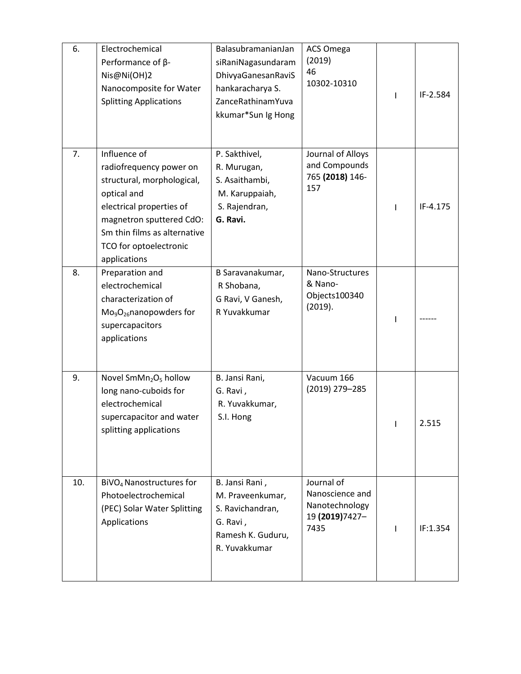| 6.  | Electrochemical<br>Performance of $\beta$ -<br>Nis@Ni(OH)2<br>Nanocomposite for Water<br><b>Splitting Applications</b>                                                                                                 | BalasubramanianJan<br>siRaniNagasundaram<br>DhivyaGanesanRaviS<br>hankaracharya S.<br>ZanceRathinamYuva<br>kkumar*Sun Ig Hong | <b>ACS Omega</b><br>(2019)<br>46<br>10302-10310                            | IF-2.584 |
|-----|------------------------------------------------------------------------------------------------------------------------------------------------------------------------------------------------------------------------|-------------------------------------------------------------------------------------------------------------------------------|----------------------------------------------------------------------------|----------|
| 7.  | Influence of<br>radiofrequency power on<br>structural, morphological,<br>optical and<br>electrical properties of<br>magnetron sputtered CdO:<br>Sm thin films as alternative<br>TCO for optoelectronic<br>applications | P. Sakthivel,<br>R. Murugan,<br>S. Asaithambi,<br>M. Karuppaiah,<br>S. Rajendran,<br>G. Ravi.                                 | Journal of Alloys<br>and Compounds<br>765 (2018) 146-<br>157               | IF-4.175 |
| 8.  | Preparation and<br>electrochemical<br>characterization of<br>$Mo9O26$ nanopowders for<br>supercapacitors<br>applications                                                                                               | B Saravanakumar,<br>R Shobana,<br>G Ravi, V Ganesh,<br>R Yuvakkumar                                                           | Nano-Structures<br>& Nano-<br>Objects100340<br>(2019).                     |          |
| 9.  | Novel SmMn <sub>2</sub> O <sub>5</sub> hollow<br>long nano-cuboids for<br>electrochemical<br>supercapacitor and water<br>splitting applications                                                                        | B. Jansi Rani,<br>G. Ravi,<br>R. Yuvakkumar,<br>S.I. Hong                                                                     | Vacuum 166<br>(2019) 279-285                                               | 2.515    |
| 10. | BiVO <sub>4</sub> Nanostructures for<br>Photoelectrochemical<br>(PEC) Solar Water Splitting<br>Applications                                                                                                            | B. Jansi Rani,<br>M. Praveenkumar,<br>S. Ravichandran,<br>G. Ravi,<br>Ramesh K. Guduru,<br>R. Yuvakkumar                      | Journal of<br>Nanoscience and<br>Nanotechnology<br>19 (2019) 7427-<br>7435 | IF:1.354 |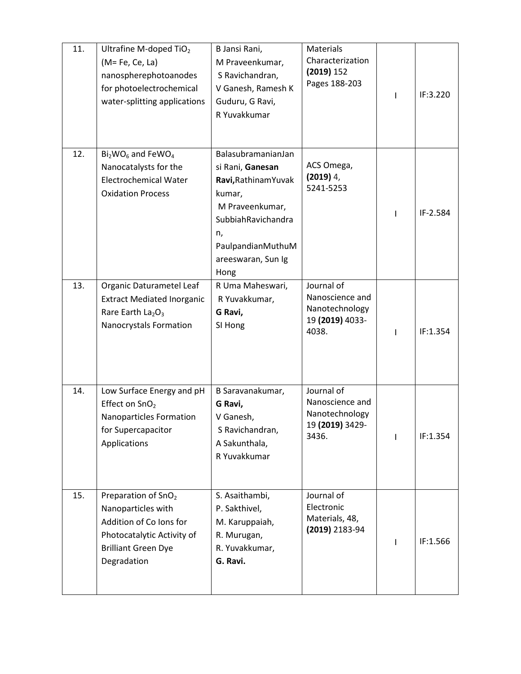| 11. | Ultrafine M-doped TiO2<br>$(M = Fe, Ce, La)$<br>nanospherephotoanodes<br>for photoelectrochemical<br>water-splitting applications                           | B Jansi Rani,<br>M Praveenkumar,<br>S Ravichandran,<br>V Ganesh, Ramesh K<br>Guduru, G Ravi,<br>R Yuvakkumar                                                               | <b>Materials</b><br>Characterization<br>(2019) 152<br>Pages 188-203         | $\mathbf{I}$ | IF:3.220 |
|-----|-------------------------------------------------------------------------------------------------------------------------------------------------------------|----------------------------------------------------------------------------------------------------------------------------------------------------------------------------|-----------------------------------------------------------------------------|--------------|----------|
| 12. | $Bi2WO6$ and FeWO <sub>4</sub><br>Nanocatalysts for the<br><b>Electrochemical Water</b><br><b>Oxidation Process</b>                                         | BalasubramanianJan<br>si Rani, Ganesan<br>Ravi, Rathinam Yuvak<br>kumar,<br>M Praveenkumar,<br>SubbiahRavichandra<br>n,<br>PaulpandianMuthuM<br>areeswaran, Sun Ig<br>Hong | ACS Omega,<br>$(2019)$ 4,<br>5241-5253                                      |              | IF-2.584 |
| 13. | Organic Daturametel Leaf<br><b>Extract Mediated Inorganic</b><br>Rare Earth $La2O3$<br>Nanocrystals Formation                                               | R Uma Maheswari,<br>R Yuvakkumar,<br>G Ravi,<br>SI Hong                                                                                                                    | Journal of<br>Nanoscience and<br>Nanotechnology<br>19 (2019) 4033-<br>4038. | L            | IF:1.354 |
| 14. | Low Surface Energy and pH<br>Effect on SnO <sub>2</sub><br>Nanoparticles Formation<br>for Supercapacitor<br>Applications                                    | B Saravanakumar,<br>G Ravi,<br>V Ganesh,<br>S Ravichandran,<br>A Sakunthala,<br>R Yuvakkumar                                                                               | Journal of<br>Nanoscience and<br>Nanotechnology<br>19 (2019) 3429-<br>3436. |              | IF:1.354 |
| 15. | Preparation of SnO <sub>2</sub><br>Nanoparticles with<br>Addition of Co Ions for<br>Photocatalytic Activity of<br><b>Brilliant Green Dye</b><br>Degradation | S. Asaithambi,<br>P. Sakthivel,<br>M. Karuppaiah,<br>R. Murugan,<br>R. Yuvakkumar,<br>G. Ravi.                                                                             | Journal of<br>Electronic<br>Materials, 48,<br>(2019) 2183-94                |              | IF:1.566 |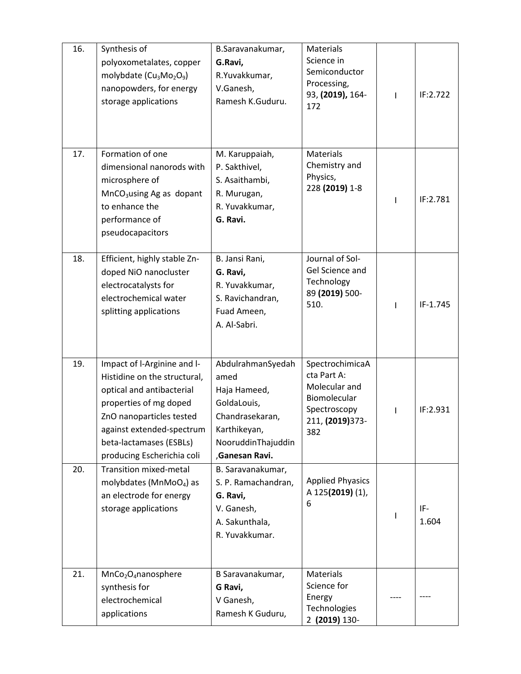| 16. | Synthesis of<br>polyoxometalates, copper<br>molybdate (Cu <sub>3</sub> Mo <sub>2</sub> O <sub>9</sub> )<br>nanopowders, for energy<br>storage applications                                                                           | B.Saravanakumar,<br>G.Ravi,<br>R.Yuvakkumar,<br>V.Ganesh,<br>Ramesh K.Guduru.                                                       | Materials<br>Science in<br>Semiconductor<br>Processing,<br>93, (2019), 164-<br>172                         | T | IF:2.722     |
|-----|--------------------------------------------------------------------------------------------------------------------------------------------------------------------------------------------------------------------------------------|-------------------------------------------------------------------------------------------------------------------------------------|------------------------------------------------------------------------------------------------------------|---|--------------|
| 17. | Formation of one<br>dimensional nanorods with<br>microsphere of<br>MnCO <sub>3</sub> using Ag as dopant<br>to enhance the<br>performance of<br>pseudocapacitors                                                                      | M. Karuppaiah,<br>P. Sakthivel,<br>S. Asaithambi,<br>R. Murugan,<br>R. Yuvakkumar,<br>G. Ravi.                                      | Materials<br>Chemistry and<br>Physics,<br>228 (2019) 1-8                                                   |   | IF:2.781     |
| 18. | Efficient, highly stable Zn-<br>doped NiO nanocluster<br>electrocatalysts for<br>electrochemical water<br>splitting applications                                                                                                     | B. Jansi Rani,<br>G. Ravi,<br>R. Yuvakkumar,<br>S. Ravichandran,<br>Fuad Ameen,<br>A. Al-Sabri.                                     | Journal of Sol-<br>Gel Science and<br>Technology<br>89 (2019) 500-<br>510.                                 |   | IF-1.745     |
| 19. | Impact of I-Arginine and I-<br>Histidine on the structural,<br>optical and antibacterial<br>properties of mg doped<br>ZnO nanoparticles tested<br>against extended-spectrum<br>beta-lactamases (ESBLs)<br>producing Escherichia coli | AbdulrahmanSyedah<br>amed<br>Haja Hameed,<br>GoldaLouis,<br>Chandrasekaran,<br>Karthikeyan,<br>NooruddinThajuddin<br>,Ganesan Ravi. | SpectrochimicaA<br>cta Part A:<br>Molecular and<br>Biomolecular<br>Spectroscopy<br>211, (2019) 373-<br>382 |   | IF:2.931     |
| 20. | <b>Transition mixed-metal</b><br>molybdates (MnMoO <sub>4</sub> ) as<br>an electrode for energy<br>storage applications                                                                                                              | B. Saravanakumar,<br>S. P. Ramachandran,<br>G. Ravi,<br>V. Ganesh,<br>A. Sakunthala,<br>R. Yuvakkumar.                              | <b>Applied Phyasics</b><br>A 125(2019) (1),<br>6                                                           |   | IF-<br>1.604 |
| 21. | MnCo <sub>2</sub> O <sub>4</sub> nanosphere<br>synthesis for<br>electrochemical<br>applications                                                                                                                                      | B Saravanakumar,<br>G Ravi,<br>V Ganesh,<br>Ramesh K Guduru,                                                                        | Materials<br>Science for<br>Energy<br>Technologies<br>2 (2019) 130-                                        |   |              |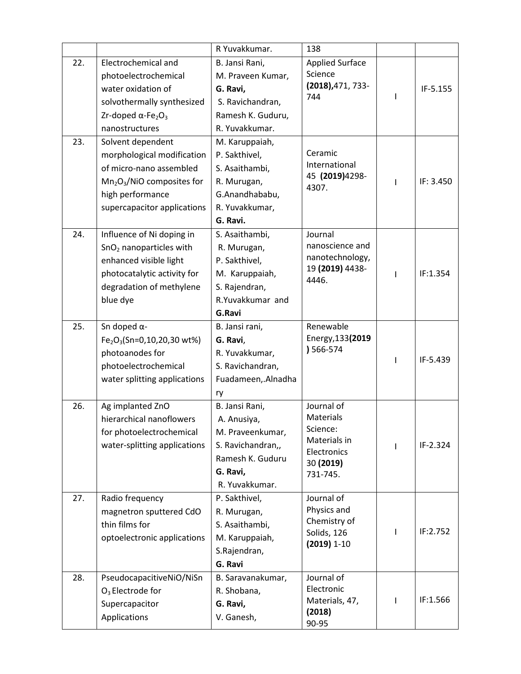|     |                                                   | R Yuvakkumar.      | 138                          |   |           |
|-----|---------------------------------------------------|--------------------|------------------------------|---|-----------|
| 22. | Electrochemical and                               | B. Jansi Rani,     | <b>Applied Surface</b>       |   |           |
|     | photoelectrochemical                              | M. Praveen Kumar,  | Science                      |   |           |
|     | water oxidation of                                | G. Ravi,           | (2018), 471, 733-            |   | IF-5.155  |
|     | solvothermally synthesized                        | S. Ravichandran,   | 744                          |   |           |
|     | Zr-doped $\alpha$ -Fe <sub>2</sub> O <sub>3</sub> | Ramesh K. Guduru,  |                              |   |           |
|     | nanostructures                                    | R. Yuvakkumar.     |                              |   |           |
| 23. | Solvent dependent                                 | M. Karuppaiah,     |                              |   |           |
|     | morphological modification                        | P. Sakthivel,      | Ceramic                      |   |           |
|     | of micro-nano assembled                           | S. Asaithambi,     | International                |   |           |
|     | $Mn2O3/NiO$ composites for                        | R. Murugan,        | 45 (2019) 4298-<br>4307.     | ı | IF: 3.450 |
|     | high performance                                  | G.Anandhababu,     |                              |   |           |
|     | supercapacitor applications                       | R. Yuvakkumar,     |                              |   |           |
|     |                                                   | G. Ravi.           |                              |   |           |
| 24. | Influence of Ni doping in                         | S. Asaithambi,     | Journal                      |   |           |
|     | $SnO2$ nanoparticles with                         | R. Murugan,        | nanoscience and              |   |           |
|     | enhanced visible light                            | P. Sakthivel,      | nanotechnology,              |   |           |
|     | photocatalytic activity for                       | M. Karuppaiah,     | 19 (2019) 4438-<br>4446.     | I | IF:1.354  |
|     | degradation of methylene                          | S. Rajendran,      |                              |   |           |
|     | blue dye                                          | R.Yuvakkumar and   |                              |   |           |
|     |                                                   | G.Ravi             |                              |   |           |
| 25. | Sn doped $\alpha$ -                               | B. Jansi rani,     | Renewable                    |   |           |
|     | $Fe2O3(Sn=0,10,20,30 wt%)$                        | G. Ravi,           | Energy, 133(2019             |   |           |
|     | photoanodes for                                   | R. Yuvakkumar,     | ) 566-574                    | ı | IF-5.439  |
|     | photoelectrochemical                              | S. Ravichandran,   |                              |   |           |
|     | water splitting applications                      | Fuadameen, Alnadha |                              |   |           |
|     |                                                   | ry                 |                              |   |           |
| 26. | Ag implanted ZnO                                  | B. Jansi Rani,     | Journal of                   |   |           |
|     | hierarchical nanoflowers                          | A. Anusiya,        | Materials                    |   |           |
|     | for photoelectrochemical                          | M. Praveenkumar,   | Science:<br>Materials in     |   |           |
|     | water-splitting applications                      | S. Ravichandran,,  | Electronics                  |   | IF-2.324  |
|     |                                                   | Ramesh K. Guduru   | 30 (2019)                    |   |           |
|     |                                                   | G. Ravi,           | 731-745.                     |   |           |
|     |                                                   | R. Yuvakkumar.     |                              |   |           |
| 27. | Radio frequency                                   | P. Sakthivel,      | Journal of                   |   |           |
|     | magnetron sputtered CdO                           | R. Murugan,        | Physics and                  |   |           |
|     | thin films for                                    | S. Asaithambi,     | Chemistry of                 | ı | IF:2.752  |
|     | optoelectronic applications                       | M. Karuppaiah,     | Solids, 126<br>$(2019) 1-10$ |   |           |
|     |                                                   | S.Rajendran,       |                              |   |           |
|     |                                                   | G. Ravi            |                              |   |           |
| 28. | PseudocapacitiveNiO/NiSn                          | B. Saravanakumar,  | Journal of                   |   |           |
|     | $O3$ Electrode for                                | R. Shobana,        | Electronic                   |   |           |
|     | Supercapacitor                                    | G. Ravi,           | Materials, 47,<br>(2018)     | L | IF:1.566  |
|     | Applications                                      | V. Ganesh,         | 90-95                        |   |           |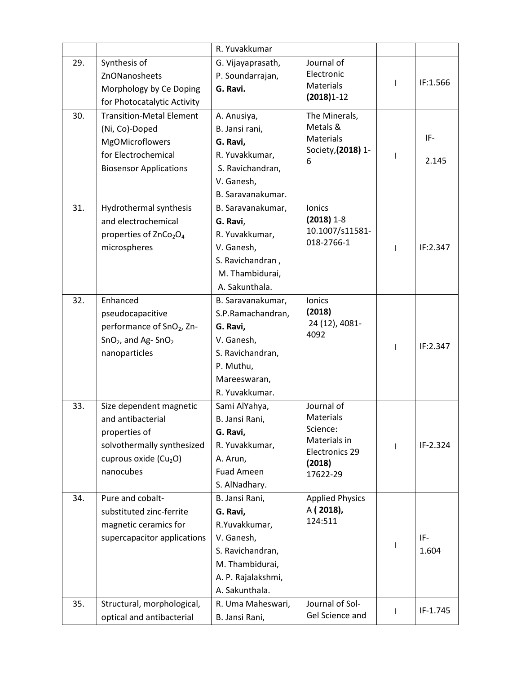|     |                                                                                                                                               | R. Yuvakkumar                                                                                                                            |                                                                                             |   |              |
|-----|-----------------------------------------------------------------------------------------------------------------------------------------------|------------------------------------------------------------------------------------------------------------------------------------------|---------------------------------------------------------------------------------------------|---|--------------|
| 29. | Synthesis of<br>ZnONanosheets<br>Morphology by Ce Doping<br>for Photocatalytic Activity                                                       | G. Vijayaprasath,<br>P. Soundarrajan,<br>G. Ravi.                                                                                        | Journal of<br>Electronic<br>Materials<br>$(2018)1-12$                                       | L | IF:1.566     |
| 30. | <b>Transition-Metal Element</b><br>(Ni, Co)-Doped<br><b>MgOMicroflowers</b><br>for Electrochemical<br><b>Biosensor Applications</b>           | A. Anusiya,<br>B. Jansi rani,<br>G. Ravi,<br>R. Yuvakkumar,<br>S. Ravichandran,<br>V. Ganesh,<br>B. Saravanakumar.                       | The Minerals,<br>Metals &<br>Materials<br>Society, (2018) 1-<br>6                           |   | IF-<br>2.145 |
| 31. | Hydrothermal synthesis<br>and electrochemical<br>properties of ZnCo <sub>2</sub> O <sub>4</sub><br>microspheres                               | B. Saravanakumar,<br>G. Ravi,<br>R. Yuvakkumar,<br>V. Ganesh,<br>S. Ravichandran,<br>M. Thambidurai,<br>A. Sakunthala.                   | <b>lonics</b><br>$(2018)$ 1-8<br>10.1007/s11581-<br>018-2766-1                              | I | IF:2.347     |
| 32. | Enhanced<br>pseudocapacitive<br>performance of SnO <sub>2</sub> , Zn-<br>$SnO2$ , and Ag- $SnO2$<br>nanoparticles                             | B. Saravanakumar,<br>S.P.Ramachandran,<br>G. Ravi,<br>V. Ganesh,<br>S. Ravichandran,<br>P. Muthu,<br>Mareeswaran,<br>R. Yuvakkumar.      | <b>lonics</b><br>(2018)<br>24 (12), 4081-<br>4092                                           |   | IF:2.347     |
| 33. | Size dependent magnetic<br>and antibacterial<br>properties of<br>solvothermally synthesized<br>cuprous oxide (Cu <sub>2</sub> O)<br>nanocubes | Sami AlYahya,<br>B. Jansi Rani,<br>G. Ravi,<br>R. Yuvakkumar,<br>A. Arun,<br><b>Fuad Ameen</b><br>S. AlNadhary.                          | Journal of<br>Materials<br>Science:<br>Materials in<br>Electronics 29<br>(2018)<br>17622-29 |   | IF-2.324     |
| 34. | Pure and cobalt-<br>substituted zinc-ferrite<br>magnetic ceramics for<br>supercapacitor applications                                          | B. Jansi Rani,<br>G. Ravi,<br>R.Yuvakkumar,<br>V. Ganesh,<br>S. Ravichandran,<br>M. Thambidurai,<br>A. P. Rajalakshmi,<br>A. Sakunthala. | <b>Applied Physics</b><br>A (2018),<br>124:511                                              |   | IF-<br>1.604 |
| 35. | Structural, morphological,<br>optical and antibacterial                                                                                       | R. Uma Maheswari,<br>B. Jansi Rani,                                                                                                      | Journal of Sol-<br>Gel Science and                                                          |   | IF-1.745     |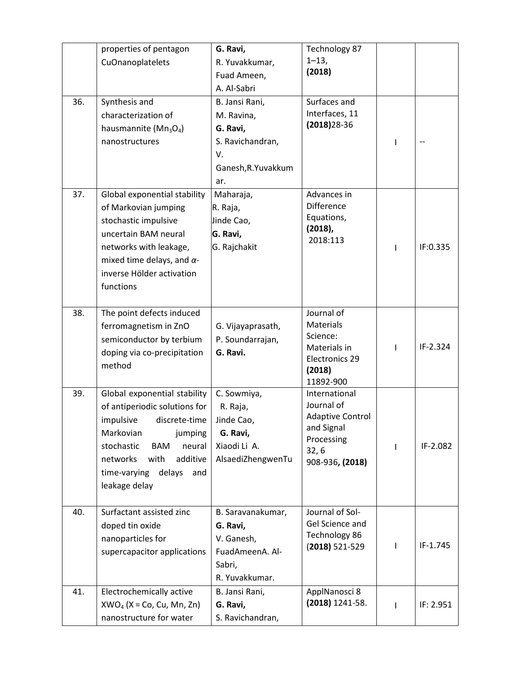|     | properties of pentagon             | G. Ravi,            | Technology 87                  |   |           |
|-----|------------------------------------|---------------------|--------------------------------|---|-----------|
|     | CuOnanoplatelets                   | R. Yuvakkumar,      | $1 - 13,$                      |   |           |
|     |                                    | Fuad Ameen,         | (2018)                         |   |           |
|     |                                    | A. Al-Sabri         |                                |   |           |
| 36. | Synthesis and                      | B. Jansi Rani,      | Surfaces and                   |   |           |
|     | characterization of                | M. Ravina,          | Interfaces, 11                 |   |           |
|     | hausmannite ( $Mn_3O_4$ )          | G. Ravi,            | $(2018)$ 28-36                 |   |           |
|     | nanostructures                     | S. Ravichandran,    |                                | L |           |
|     |                                    | V.                  |                                |   |           |
|     |                                    | Ganesh, R. Yuvakkum |                                |   |           |
|     |                                    | ar.                 |                                |   |           |
| 37. | Global exponential stability       | Maharaja,           | Advances in                    |   |           |
|     | of Markovian jumping               | R. Raja,            | <b>Difference</b>              |   |           |
|     | stochastic impulsive               | Jinde Cao,          | Equations,                     |   |           |
|     | uncertain BAM neural               | G. Ravi,            | $(2018)$ ,<br>2018:113         |   |           |
|     | networks with leakage,             | G. Rajchakit        |                                | ı | IF:0.335  |
|     | mixed time delays, and $\alpha$ -  |                     |                                |   |           |
|     | inverse Hölder activation          |                     |                                |   |           |
|     | functions                          |                     |                                |   |           |
|     |                                    |                     |                                |   |           |
| 38. | The point defects induced          |                     | Journal of                     |   |           |
|     | ferromagnetism in ZnO              | G. Vijayaprasath,   | <b>Materials</b>               |   |           |
|     | semiconductor by terbium           | P. Soundarrajan,    | Science:                       |   | IF-2.324  |
|     | doping via co-precipitation        | G. Ravi.            | Materials in<br>Electronics 29 | ı |           |
|     | method                             |                     | (2018)                         |   |           |
|     |                                    |                     | 11892-900                      |   |           |
| 39. | Global exponential stability       | C. Sowmiya,         | International                  |   |           |
|     | of antiperiodic solutions for      | R. Raja,            | Journal of                     |   |           |
|     | impulsive<br>discrete-time         | Jinde Cao,          | Adaptive Control               |   |           |
|     | Markovian<br>jumping               | G. Ravi,            | and Signal<br>Processing       |   |           |
|     | stochastic<br><b>BAM</b><br>neural | Xiaodi Li A.        | 32, 6                          |   | IF-2.082  |
|     | networks<br>with<br>additive       | AlsaediZhengwenTu   | 908-936, (2018)                |   |           |
|     | delays<br>time-varying<br>and      |                     |                                |   |           |
|     | leakage delay                      |                     |                                |   |           |
|     |                                    |                     |                                |   |           |
| 40. | Surfactant assisted zinc           | B. Saravanakumar,   | Journal of Sol-                |   |           |
|     | doped tin oxide                    | G. Ravi,            | Gel Science and                |   |           |
|     | nanoparticles for                  | V. Ganesh,          | Technology 86                  |   | IF-1.745  |
|     | supercapacitor applications        | FuadAmeenA. Al-     | $(2018)$ 521-529               | L |           |
|     |                                    | Sabri,              |                                |   |           |
|     |                                    | R. Yuvakkumar.      |                                |   |           |
| 41. | Electrochemically active           | B. Jansi Rani,      | ApplNanosci 8                  |   |           |
|     | $XWO4$ (X = Co, Cu, Mn, Zn)        | G. Ravi,            | (2018) 1241-58.                | T | IF: 2.951 |
|     | nanostructure for water            | S. Ravichandran,    |                                |   |           |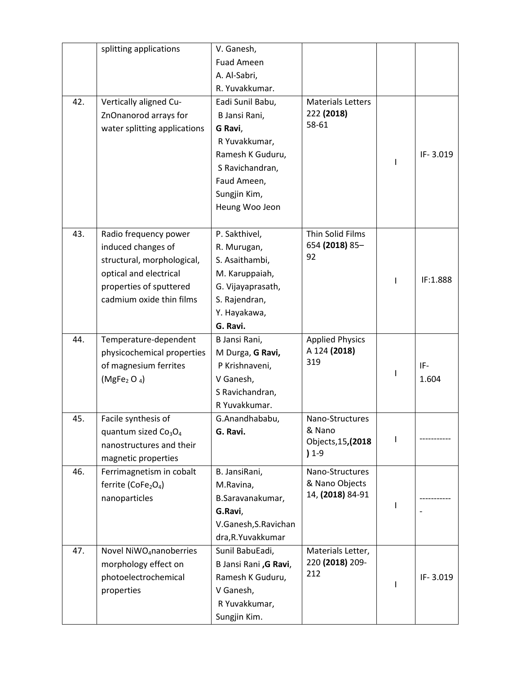|     | splitting applications                                                                                                                                     | V. Ganesh,<br><b>Fuad Ameen</b><br>A. Al-Sabri,<br>R. Yuvakkumar.                                                                                     |                                                            |              |
|-----|------------------------------------------------------------------------------------------------------------------------------------------------------------|-------------------------------------------------------------------------------------------------------------------------------------------------------|------------------------------------------------------------|--------------|
| 42. | Vertically aligned Cu-<br>ZnOnanorod arrays for<br>water splitting applications                                                                            | Eadi Sunil Babu,<br>B Jansi Rani,<br>G Ravi,<br>R Yuvakkumar,<br>Ramesh K Guduru,<br>S Ravichandran,<br>Faud Ameen,<br>Sungjin Kim,<br>Heung Woo Jeon | <b>Materials Letters</b><br>222 (2018)<br>58-61            | IF-3.019     |
| 43. | Radio frequency power<br>induced changes of<br>structural, morphological,<br>optical and electrical<br>properties of sputtered<br>cadmium oxide thin films | P. Sakthivel,<br>R. Murugan,<br>S. Asaithambi,<br>M. Karuppaiah,<br>G. Vijayaprasath,<br>S. Rajendran,<br>Y. Hayakawa,<br>G. Ravi.                    | Thin Solid Films<br>654 (2018) 85-<br>92                   | IF:1.888     |
| 44. | Temperature-dependent<br>physicochemical properties<br>of magnesium ferrites<br>(MgFe <sub>2</sub> O <sub>4</sub> )                                        | B Jansi Rani,<br>M Durga, G Ravi,<br>P Krishnaveni,<br>V Ganesh,<br>S Ravichandran,<br>R Yuvakkumar.                                                  | <b>Applied Physics</b><br>A 124 (2018)<br>319              | IF-<br>1.604 |
| 45. | Facile synthesis of<br>quantum sized $Co3O4$<br>nanostructures and their<br>magnetic properties                                                            | G.Anandhababu,<br>G. Ravi.                                                                                                                            | Nano-Structures<br>& Nano<br>Objects, 15, (2018<br>$) 1-9$ |              |
| 46. | Ferrimagnetism in cobalt<br>ferrite (CoFe <sub>2</sub> O <sub>4</sub> )<br>nanoparticles                                                                   | B. JansiRani,<br>M.Ravina,<br>B.Saravanakumar,<br>G.Ravi,<br>V.Ganesh, S.Ravichan<br>dra, R. Yuvakkumar                                               | Nano-Structures<br>& Nano Objects<br>14, (2018) 84-91      |              |
| 47. | Novel NiWO <sub>4</sub> nanoberries<br>morphology effect on<br>photoelectrochemical<br>properties                                                          | Sunil BabuEadi,<br>B Jansi Rani , G Ravi,<br>Ramesh K Guduru,<br>V Ganesh,<br>R Yuvakkumar,<br>Sungjin Kim.                                           | Materials Letter,<br>220 (2018) 209-<br>212                | IF-3.019     |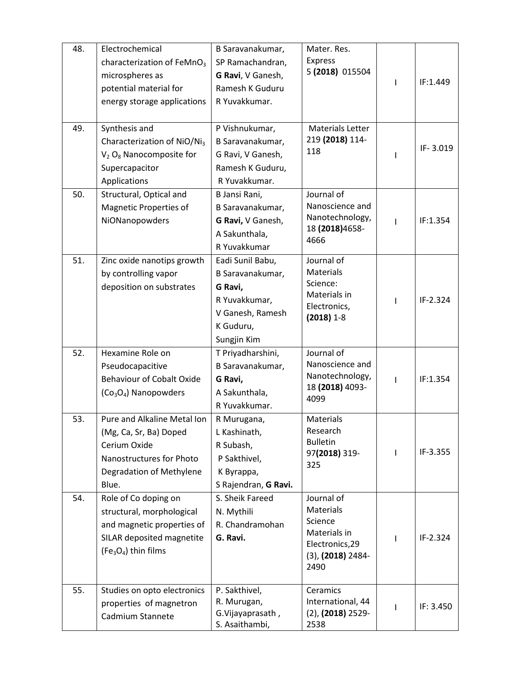| 48. | Electrochemical                             | B Saravanakumar,                 | Mater. Res.                                 |   |           |
|-----|---------------------------------------------|----------------------------------|---------------------------------------------|---|-----------|
|     | characterization of FeMnO <sub>3</sub>      | SP Ramachandran,                 | Express                                     |   |           |
|     | microspheres as                             | G Ravi, V Ganesh,                | 5 (2018) 015504                             |   |           |
|     | potential material for                      | Ramesh K Guduru                  |                                             | ı | IF:1.449  |
|     | energy storage applications                 | R Yuvakkumar.                    |                                             |   |           |
|     |                                             |                                  |                                             |   |           |
| 49. | Synthesis and                               | P Vishnukumar,                   | Materials Letter                            |   |           |
|     | Characterization of NiO/Ni <sub>3</sub>     | B Saravanakumar,                 | 219 (2018) 114-                             |   |           |
|     | $V_2$ O <sub>8</sub> Nanocomposite for      | G Ravi, V Ganesh,                | 118                                         |   | IF-3.019  |
|     | Supercapacitor                              | Ramesh K Guduru,                 |                                             |   |           |
|     | Applications                                | R Yuvakkumar.                    |                                             |   |           |
| 50. | Structural, Optical and                     | B Jansi Rani,                    | Journal of                                  |   |           |
|     | Magnetic Properties of                      | B Saravanakumar,                 | Nanoscience and                             |   |           |
|     | NiONanopowders                              | G Ravi, V Ganesh,                | Nanotechnology,                             |   | IF:1.354  |
|     |                                             | A Sakunthala,                    | 18 (2018) 4658-                             |   |           |
|     |                                             | R Yuvakkumar                     | 4666                                        |   |           |
| 51. | Zinc oxide nanotips growth                  | Eadi Sunil Babu,                 | Journal of                                  |   |           |
|     | by controlling vapor                        | B Saravanakumar,                 | <b>Materials</b>                            |   |           |
|     | deposition on substrates                    | G Ravi,                          | Science:                                    |   |           |
|     |                                             | R Yuvakkumar,                    | Materials in                                | ı | IF-2.324  |
|     |                                             | V Ganesh, Ramesh                 | Electronics,<br>$(2018)$ 1-8                |   |           |
|     |                                             | K Guduru,                        |                                             |   |           |
|     |                                             | Sungjin Kim                      |                                             |   |           |
| 52. | Hexamine Role on                            | T Priyadharshini,                | Journal of                                  |   |           |
|     | Pseudocapacitive                            | B Saravanakumar,                 | Nanoscience and                             |   |           |
|     | <b>Behaviour of Cobalt Oxide</b>            | G Ravi,                          | Nanotechnology,                             | ı | IF:1.354  |
|     | $(Co3O4)$ Nanopowders                       | A Sakunthala,                    | 18 (2018) 4093-<br>4099                     |   |           |
|     |                                             | R Yuvakkumar.                    |                                             |   |           |
| 53. | Pure and Alkaline Metal Ion                 | R Murugana,                      | Materials                                   |   |           |
|     | (Mg, Ca, Sr, Ba) Doped                      | L Kashinath,                     | Research                                    |   |           |
|     | Cerium Oxide                                | R Subash,                        | <b>Bulletin</b>                             |   | IF-3.355  |
|     | Nanostructures for Photo                    | P Sakthivel,                     | 97(2018) 319-<br>325                        |   |           |
|     | Degradation of Methylene                    | K Byrappa,                       |                                             |   |           |
|     | Blue.                                       | S Rajendran, G Ravi.             |                                             |   |           |
| 54. | Role of Co doping on                        | S. Sheik Fareed                  | Journal of                                  |   |           |
|     | structural, morphological                   | N. Mythili                       | Materials                                   |   |           |
|     | and magnetic properties of                  | R. Chandramohan                  | Science                                     |   |           |
|     |                                             |                                  |                                             |   |           |
|     | SILAR deposited magnetite                   | G. Ravi.                         | Materials in                                |   | IF-2.324  |
|     | $(Fe3O4)$ thin films                        |                                  | Electronics, 29                             |   |           |
|     |                                             |                                  | $(3)$ , $(2018)$ 2484-<br>2490              |   |           |
|     |                                             |                                  |                                             |   |           |
| 55. | Studies on opto electronics                 | P. Sakthivel,                    | Ceramics                                    |   |           |
|     | properties of magnetron<br>Cadmium Stannete | R. Murugan,<br>G. Vijayaprasath, | International, 44<br>$(2)$ , $(2018)$ 2529- | I | IF: 3.450 |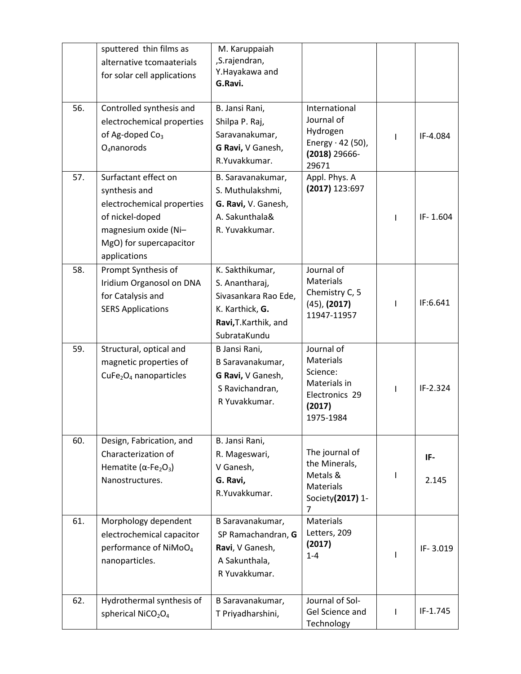|     | sputtered thin films as<br>alternative tcomaaterials<br>for solar cell applications                                                                       | M. Karuppaiah<br>,S.rajendran,<br>Y.Hayakawa and<br>G.Ravi.                                                           |                                                                                                     |    |              |
|-----|-----------------------------------------------------------------------------------------------------------------------------------------------------------|-----------------------------------------------------------------------------------------------------------------------|-----------------------------------------------------------------------------------------------------|----|--------------|
| 56. | Controlled synthesis and<br>electrochemical properties<br>of Ag-doped Co <sub>3</sub><br>$O_4$ nanorods                                                   | B. Jansi Rani,<br>Shilpa P. Raj,<br>Saravanakumar,<br>G Ravi, V Ganesh,<br>R.Yuvakkumar.                              | International<br>Journal of<br>Hydrogen<br>Energy $\cdot$ 42 (50),<br>$(2018)$ 29666-<br>29671      |    | IF-4.084     |
| 57. | Surfactant effect on<br>synthesis and<br>electrochemical properties<br>of nickel-doped<br>magnesium oxide (Ni-<br>MgO) for supercapacitor<br>applications | B. Saravanakumar,<br>S. Muthulakshmi,<br>G. Ravi, V. Ganesh,<br>A. Sakunthala&<br>R. Yuvakkumar.                      | Appl. Phys. A<br>(2017) 123:697                                                                     |    | IF-1.604     |
| 58. | Prompt Synthesis of<br>Iridium Organosol on DNA<br>for Catalysis and<br><b>SERS Applications</b>                                                          | K. Sakthikumar,<br>S. Anantharaj,<br>Sivasankara Rao Ede,<br>K. Karthick, G.<br>Ravi, T. Karthik, and<br>SubrataKundu | Journal of<br><b>Materials</b><br>Chemistry C, 5<br>$(45)$ , $(2017)$<br>11947-11957                | L  | IF:6.641     |
| 59. | Structural, optical and<br>magnetic properties of<br>CuFe <sub>2</sub> O <sub>4</sub> nanoparticles                                                       | B Jansi Rani,<br>B Saravanakumar,<br>G Ravi, V Ganesh,<br>S Ravichandran,<br>R Yuvakkumar.                            | Journal of<br><b>Materials</b><br>Science:<br>Materials in<br>Electronics 29<br>(2017)<br>1975-1984 |    | IF-2.324     |
| 60. | Design, Fabrication, and<br>Characterization of<br>Hematite ( $\alpha$ -Fe <sub>2</sub> O <sub>3</sub> )<br>Nanostructures.                               | B. Jansi Rani,<br>R. Mageswari,<br>V Ganesh,<br>G. Ravi,<br>R.Yuvakkumar.                                             | The journal of<br>the Minerals,<br>Metals &<br><b>Materials</b><br>Society(2017) 1-<br>7            | L  | IF-<br>2.145 |
| 61. | Morphology dependent<br>electrochemical capacitor<br>performance of NiMoO <sub>4</sub><br>nanoparticles.                                                  | B Saravanakumar,<br>SP Ramachandran, G<br>Ravi, V Ganesh,<br>A Sakunthala,<br>R Yuvakkumar.                           | <b>Materials</b><br>Letters, 209<br>(2017)<br>$1 - 4$                                               |    | IF-3.019     |
| 62. | Hydrothermal synthesis of<br>spherical NiCO <sub>2</sub> O <sub>4</sub>                                                                                   | B Saravanakumar,<br>T Priyadharshini,                                                                                 | Journal of Sol-<br>Gel Science and<br>Technology                                                    | I. | IF-1.745     |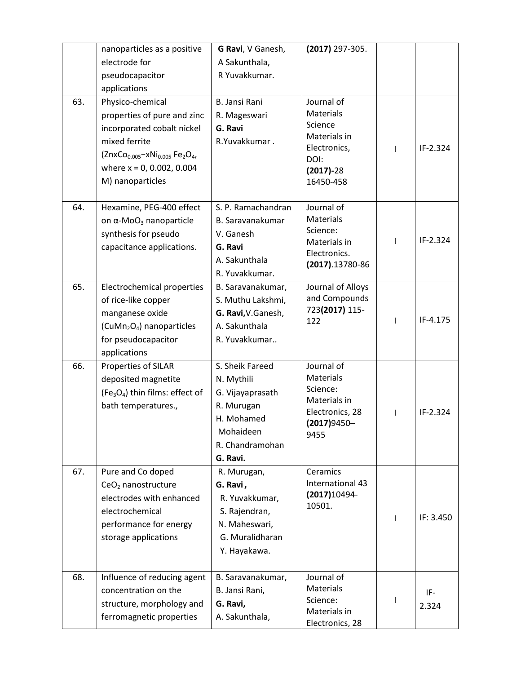|     | nanoparticles as a positive                                                    | G Ravi, V Ganesh,    | (2017) 297-305.     |   |           |
|-----|--------------------------------------------------------------------------------|----------------------|---------------------|---|-----------|
|     | electrode for                                                                  | A Sakunthala,        |                     |   |           |
|     | pseudocapacitor                                                                | R Yuvakkumar.        |                     |   |           |
|     | applications                                                                   |                      |                     |   |           |
| 63. | Physico-chemical                                                               | <b>B. Jansi Rani</b> | Journal of          |   |           |
|     | properties of pure and zinc                                                    | R. Mageswari         | Materials           |   |           |
|     | incorporated cobalt nickel                                                     | G. Ravi              | Science             |   |           |
|     | mixed ferrite                                                                  | R.Yuvakkumar.        | Materials in        |   |           |
|     | (ZnxCo <sub>0.005</sub> -xNi <sub>0.005</sub> Fe <sub>2</sub> O <sub>4</sub> , |                      | Electronics,        | ı | IF-2.324  |
|     | where $x = 0$ , 0.002, 0.004                                                   |                      | DOI:<br>$(2017)-28$ |   |           |
|     | M) nanoparticles                                                               |                      | 16450-458           |   |           |
|     |                                                                                |                      |                     |   |           |
| 64. | Hexamine, PEG-400 effect                                                       | S. P. Ramachandran   | Journal of          |   |           |
|     | on $α$ -MoO <sub>3</sub> nanoparticle                                          | B. Saravanakumar     | <b>Materials</b>    |   |           |
|     | synthesis for pseudo                                                           | V. Ganesh            | Science:            |   |           |
|     | capacitance applications.                                                      | G. Ravi              | Materials in        |   | IF-2.324  |
|     |                                                                                | A. Sakunthala        | Electronics.        |   |           |
|     |                                                                                | R. Yuvakkumar.       | (2017).13780-86     |   |           |
| 65. | Electrochemical properties                                                     | B. Saravanakumar,    | Journal of Alloys   |   |           |
|     | of rice-like copper                                                            | S. Muthu Lakshmi,    | and Compounds       |   |           |
|     | manganese oxide                                                                | G. Ravi, V. Ganesh,  | 723(2017) 115-      |   |           |
|     | (CuMn <sub>2</sub> O <sub>4</sub> ) nanoparticles                              | A. Sakunthala        | 122                 |   | IF-4.175  |
|     | for pseudocapacitor                                                            | R. Yuvakkumar        |                     |   |           |
|     | applications                                                                   |                      |                     |   |           |
| 66. | Properties of SILAR                                                            | S. Sheik Fareed      | Journal of          |   |           |
|     | deposited magnetite                                                            | N. Mythili           | Materials           |   |           |
|     | (Fe <sub>3</sub> O <sub>4</sub> ) thin films: effect of                        | G. Vijayaprasath     | Science:            |   |           |
|     | bath temperatures.,                                                            | R. Murugan           | Materials in        |   |           |
|     |                                                                                | H. Mohamed           | Electronics, 28     | L | IF-2.324  |
|     |                                                                                | Mohaideen            | (2017)9450-<br>9455 |   |           |
|     |                                                                                | R. Chandramohan      |                     |   |           |
|     |                                                                                | G. Ravi.             |                     |   |           |
| 67. | Pure and Co doped                                                              | R. Murugan,          | Ceramics            |   |           |
|     | CeO <sub>2</sub> nanostructure                                                 | G. Ravi,             | International 43    |   |           |
|     | electrodes with enhanced                                                       | R. Yuvakkumar,       | $(2017)10494 -$     |   |           |
|     | electrochemical                                                                | S. Rajendran,        | 10501.              |   |           |
|     | performance for energy                                                         | N. Maheswari,        |                     |   | IF: 3.450 |
|     | storage applications                                                           | G. Muralidharan      |                     |   |           |
|     |                                                                                | Y. Hayakawa.         |                     |   |           |
|     |                                                                                |                      |                     |   |           |
| 68. | Influence of reducing agent                                                    | B. Saravanakumar,    | Journal of          |   |           |
|     | concentration on the                                                           | B. Jansi Rani,       | Materials           |   | IF-       |
|     | structure, morphology and                                                      | G. Ravi,             | Science:            |   | 2.324     |
|     | ferromagnetic properties                                                       | A. Sakunthala,       | Materials in        |   |           |
|     |                                                                                |                      | Electronics, 28     |   |           |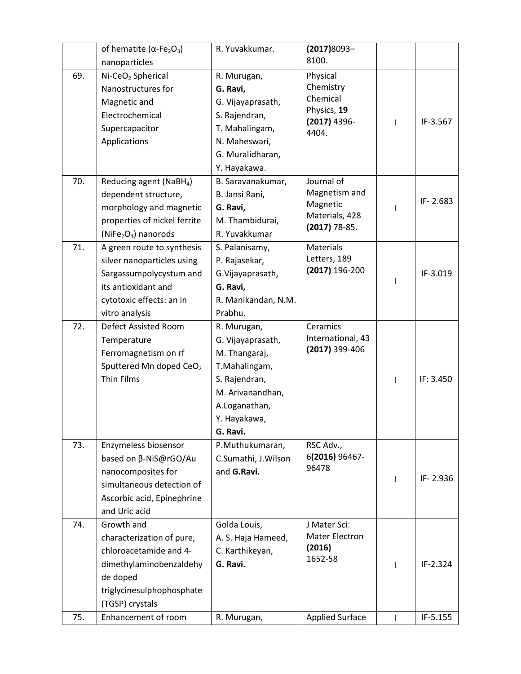|     | of hematite ( $\alpha$ -Fe <sub>2</sub> O <sub>3</sub> ) | R. Yuvakkumar.      | $(2017)8093-$                     |   |           |
|-----|----------------------------------------------------------|---------------------|-----------------------------------|---|-----------|
|     | nanoparticles                                            |                     | 8100.                             |   |           |
| 69. | Ni-CeO <sub>2</sub> Spherical                            | R. Murugan,         | Physical                          |   |           |
|     | Nanostructures for                                       | G. Ravi,            | Chemistry                         |   |           |
|     | Magnetic and                                             | G. Vijayaprasath,   | Chemical                          |   |           |
|     | Electrochemical                                          | S. Rajendran,       | Physics, 19<br>(2017) 4396-       |   | IF-3.567  |
|     | Supercapacitor                                           | T. Mahalingam,      | 4404.                             |   |           |
|     | Applications                                             | N. Maheswari,       |                                   |   |           |
|     |                                                          | G. Muralidharan,    |                                   |   |           |
|     |                                                          | Y. Hayakawa.        |                                   |   |           |
| 70. | Reducing agent (NaBH <sub>4</sub> )                      | B. Saravanakumar,   | Journal of                        |   |           |
|     | dependent structure,                                     | B. Jansi Rani,      | Magnetism and                     |   | IF-2.683  |
|     | morphology and magnetic                                  | G. Ravi,            | Magnetic                          |   |           |
|     | properties of nickel ferrite                             | M. Thambidurai,     | Materials, 428<br>$(2017)$ 78-85. |   |           |
|     | (NiFe <sub>2</sub> O <sub>4</sub> ) nanorods             | R. Yuvakkumar       |                                   |   |           |
| 71. | A green route to synthesis                               | S. Palanisamy,      | <b>Materials</b>                  |   |           |
|     | silver nanoparticles using                               | P. Rajasekar,       | Letters, 189                      |   |           |
|     | Sargassumpolycystum and                                  | G.Vijayaprasath,    | (2017) 196-200                    |   | IF-3.019  |
|     | its antioxidant and                                      | G. Ravi,            |                                   |   |           |
|     | cytotoxic effects: an in                                 | R. Manikandan, N.M. |                                   |   |           |
|     | vitro analysis                                           | Prabhu.             |                                   |   |           |
| 72. | Defect Assisted Room                                     | R. Murugan,         | Ceramics                          |   |           |
|     | Temperature                                              | G. Vijayaprasath,   | International, 43                 |   |           |
|     | Ferromagnetism on rf                                     | M. Thangaraj,       | (2017) 399-406                    |   |           |
|     | Sputtered Mn doped CeO <sub>2</sub>                      | T.Mahalingam,       |                                   |   |           |
|     | <b>Thin Films</b>                                        | S. Rajendran,       |                                   |   | IF: 3.450 |
|     |                                                          | M. Arivanandhan,    |                                   |   |           |
|     |                                                          | A.Loganathan,       |                                   |   |           |
|     |                                                          | Y. Hayakawa,        |                                   |   |           |
|     |                                                          | G. Ravi.            |                                   |   |           |
| 73. | Enzymeless biosensor                                     | P.Muthukumaran,     | RSC Adv.,                         |   |           |
|     | based on β-NiS@rGO/Au                                    | C.Sumathi, J.Wilson | 6(2016) 96467-                    |   |           |
|     | nanocomposites for                                       | and G.Ravi.         | 96478                             |   | IF-2.936  |
|     | simultaneous detection of                                |                     |                                   | T |           |
|     | Ascorbic acid, Epinephrine                               |                     |                                   |   |           |
|     | and Uric acid                                            |                     |                                   |   |           |
| 74. | Growth and                                               | Golda Louis,        | J Mater Sci:                      |   |           |
|     | characterization of pure,                                | A. S. Haja Hameed,  | <b>Mater Electron</b>             |   |           |
|     | chloroacetamide and 4-                                   | C. Karthikeyan,     | (2016)                            |   |           |
|     | dimethylaminobenzaldehy                                  | G. Ravi.            | 1652-58                           |   | IF-2.324  |
|     | de doped                                                 |                     |                                   |   |           |
|     | triglycinesulphophosphate                                |                     |                                   |   |           |
|     | (TGSP) crystals                                          |                     |                                   |   |           |
| 75. | Enhancement of room                                      | R. Murugan,         | <b>Applied Surface</b>            |   | IF-5.155  |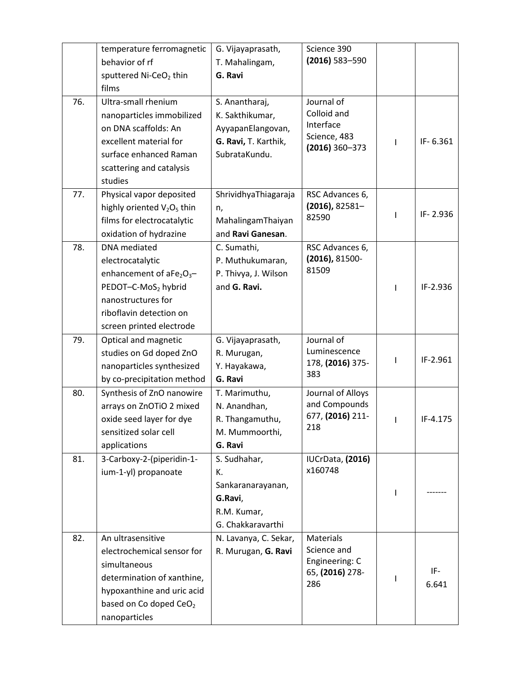|     | temperature ferromagnetic          | G. Vijayaprasath,     | Science 390                       |          |
|-----|------------------------------------|-----------------------|-----------------------------------|----------|
|     | behavior of rf                     | T. Mahalingam,        | (2016) 583-590                    |          |
|     | sputtered Ni-CeO <sub>2</sub> thin | G. Ravi               |                                   |          |
|     | films                              |                       |                                   |          |
| 76. | Ultra-small rhenium                | S. Anantharaj,        | Journal of                        |          |
|     | nanoparticles immobilized          | K. Sakthikumar,       | Colloid and                       |          |
|     | on DNA scaffolds: An               | AyyapanElangovan,     | Interface                         |          |
|     | excellent material for             | G. Ravi, T. Karthik,  | Science, 483<br>$(2016)$ 360-373  | IF-6.361 |
|     | surface enhanced Raman             | SubrataKundu.         |                                   |          |
|     | scattering and catalysis           |                       |                                   |          |
|     | studies                            |                       |                                   |          |
| 77. | Physical vapor deposited           | ShrividhyaThiagaraja  | RSC Advances 6,                   |          |
|     | highly oriented $V_2O_5$ thin      | n,                    | $(2016)$ , 82581-                 | IF-2.936 |
|     | films for electrocatalytic         | MahalingamThaiyan     | 82590                             |          |
|     | oxidation of hydrazine             | and Ravi Ganesan.     |                                   |          |
| 78. | DNA mediated                       | C. Sumathi,           | RSC Advances 6,                   |          |
|     | electrocatalytic                   | P. Muthukumaran,      | (2016), 81500-                    |          |
|     | enhancement of $aFe2O3$ -          | P. Thivya, J. Wilson  | 81509                             |          |
|     | PEDOT-C-MoS <sub>2</sub> hybrid    | and G. Ravi.          |                                   | IF-2.936 |
|     | nanostructures for                 |                       |                                   |          |
|     | riboflavin detection on            |                       |                                   |          |
|     | screen printed electrode           |                       |                                   |          |
| 79. | Optical and magnetic               | G. Vijayaprasath,     | Journal of                        |          |
|     | studies on Gd doped ZnO            | R. Murugan,           | Luminescence                      | IF-2.961 |
|     | nanoparticles synthesized          | Y. Hayakawa,          | 178, (2016) 375-<br>383           |          |
|     | by co-precipitation method         | G. Ravi               |                                   |          |
| 80. | Synthesis of ZnO nanowire          | T. Marimuthu,         | Journal of Alloys                 |          |
|     | arrays on ZnOTiO 2 mixed           | N. Anandhan,          | and Compounds                     |          |
|     | oxide seed layer for dye           | R. Thangamuthu,       | 677, (2016) 211-<br>218           | IF-4.175 |
|     | sensitized solar cell              | M. Mummoorthi,        |                                   |          |
|     | applications                       | G. Ravi               |                                   |          |
| 81. | 3-Carboxy-2-(piperidin-1-          | S. Sudhahar,          | IUCrData, (2016)                  |          |
|     | ium-1-yl) propanoate               | К.                    | x160748                           |          |
|     |                                    | Sankaranarayanan,     |                                   |          |
|     |                                    | G.Ravi,               |                                   |          |
|     |                                    | R.M. Kumar,           |                                   |          |
|     |                                    | G. Chakkaravarthi     |                                   |          |
| 82. | An ultrasensitive                  | N. Lavanya, C. Sekar, | Materials                         |          |
|     | electrochemical sensor for         | R. Murugan, G. Ravi   | Science and                       |          |
|     | simultaneous                       |                       | Engineering: C<br>65, (2016) 278- | IF-      |
|     | determination of xanthine,         |                       | 286                               | 6.641    |
|     | hypoxanthine and uric acid         |                       |                                   |          |
|     | based on Co doped CeO <sub>2</sub> |                       |                                   |          |
|     | nanoparticles                      |                       |                                   |          |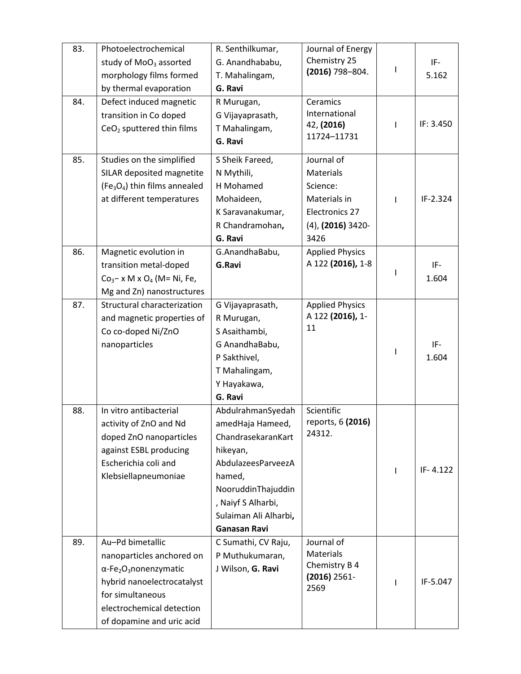| 83. | Photoelectrochemical<br>study of MoO <sub>3</sub> assorted<br>morphology films formed<br>by thermal evaporation                                                                                                    | R. Senthilkumar,<br>G. Anandhababu,<br>T. Mahalingam,<br>G. Ravi                                                                                                                                    | Journal of Energy<br>Chemistry 25<br>(2016) 798-804.                                               | I  | IF-<br>5.162 |
|-----|--------------------------------------------------------------------------------------------------------------------------------------------------------------------------------------------------------------------|-----------------------------------------------------------------------------------------------------------------------------------------------------------------------------------------------------|----------------------------------------------------------------------------------------------------|----|--------------|
| 84. | Defect induced magnetic<br>transition in Co doped<br>CeO <sub>2</sub> sputtered thin films                                                                                                                         | R Murugan,<br>G Vijayaprasath,<br>T Mahalingam,<br>G. Ravi                                                                                                                                          | Ceramics<br>International<br>42, (2016)<br>11724-11731                                             | J. | IF: 3.450    |
| 85. | Studies on the simplified<br>SILAR deposited magnetite<br>(Fe <sub>3</sub> O <sub>4</sub> ) thin films annealed<br>at different temperatures                                                                       | S Sheik Fareed,<br>N Mythili,<br>H Mohamed<br>Mohaideen,<br>K Saravanakumar,<br>R Chandramohan,<br>G. Ravi                                                                                          | Journal of<br>Materials<br>Science:<br>Materials in<br>Electronics 27<br>(4), (2016) 3420-<br>3426 |    | IF-2.324     |
| 86. | Magnetic evolution in<br>transition metal-doped<br>$Co3- x M x O4$ (M= Ni, Fe,<br>Mg and Zn) nanostructures                                                                                                        | G.AnandhaBabu,<br>G.Ravi                                                                                                                                                                            | <b>Applied Physics</b><br>A 122 (2016), 1-8                                                        |    | IF-<br>1.604 |
| 87. | Structural characterization<br>and magnetic properties of<br>Co co-doped Ni/ZnO<br>nanoparticles                                                                                                                   | G Vijayaprasath,<br>R Murugan,<br>S Asaithambi,<br>G AnandhaBabu,<br>P Sakthivel,<br>T Mahalingam,<br>Y Hayakawa,<br>G. Ravi                                                                        | <b>Applied Physics</b><br>A 122 (2016), 1-<br>11                                                   | J. | IF-<br>1.604 |
| 88. | In vitro antibacterial<br>activity of ZnO and Nd<br>doped ZnO nanoparticles<br>against ESBL producing<br>Escherichia coli and<br>Klebsiellapneumoniae                                                              | AbdulrahmanSyedah<br>amedHaja Hameed,<br>ChandrasekaranKart<br>hikeyan,<br>AbdulazeesParveezA<br>hamed,<br>NooruddinThajuddin<br>, Naiyf S Alharbi,<br>Sulaiman Ali Alharbi,<br><b>Ganasan Ravi</b> | Scientific<br>reports, 6 (2016)<br>24312.                                                          |    | IF-4.122     |
| 89. | Au-Pd bimetallic<br>nanoparticles anchored on<br>$\alpha$ -Fe <sub>2</sub> O <sub>3</sub> nonenzymatic<br>hybrid nanoelectrocatalyst<br>for simultaneous<br>electrochemical detection<br>of dopamine and uric acid | C Sumathi, CV Raju,<br>P Muthukumaran,<br>J Wilson, G. Ravi                                                                                                                                         | Journal of<br><b>Materials</b><br>Chemistry B 4<br>$(2016) 2561 -$<br>2569                         | -1 | IF-5.047     |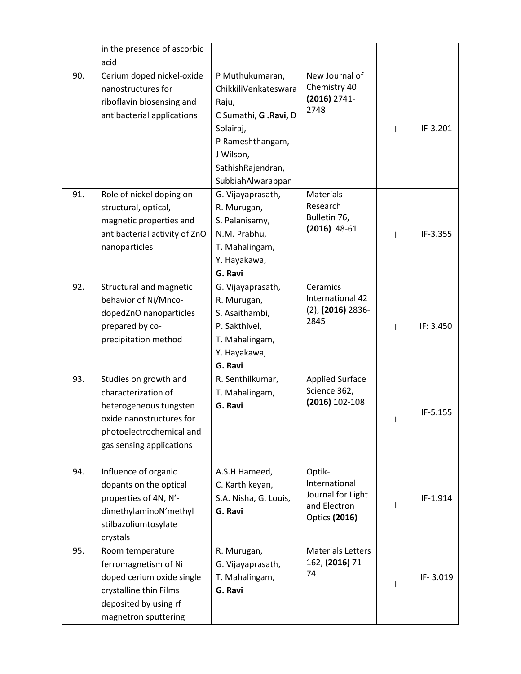|     | in the presence of ascorbic   |                        |                          |   |            |
|-----|-------------------------------|------------------------|--------------------------|---|------------|
|     | acid                          |                        |                          |   |            |
| 90. | Cerium doped nickel-oxide     | P Muthukumaran,        | New Journal of           |   |            |
|     | nanostructures for            | ChikkiliVenkateswara   | Chemistry 40             |   |            |
|     | riboflavin biosensing and     | Raju,                  | $(2016)$ 2741-<br>2748   |   |            |
|     | antibacterial applications    | C Sumathi, G . Ravi, D |                          |   |            |
|     |                               | Solairaj,              |                          |   | $IF-3.201$ |
|     |                               | P Rameshthangam,       |                          |   |            |
|     |                               | J Wilson,              |                          |   |            |
|     |                               | SathishRajendran,      |                          |   |            |
|     |                               | SubbiahAlwarappan      |                          |   |            |
| 91. | Role of nickel doping on      | G. Vijayaprasath,      | Materials                |   |            |
|     | structural, optical,          | R. Murugan,            | Research                 |   |            |
|     | magnetic properties and       | S. Palanisamy,         | Bulletin 76,             |   |            |
|     | antibacterial activity of ZnO | N.M. Prabhu,           | $(2016)$ 48-61           | ı | IF-3.355   |
|     | nanoparticles                 | T. Mahalingam,         |                          |   |            |
|     |                               | Y. Hayakawa,           |                          |   |            |
|     |                               | G. Ravi                |                          |   |            |
| 92. | Structural and magnetic       | G. Vijayaprasath,      | Ceramics                 |   |            |
|     | behavior of Ni/Mnco-          | R. Murugan,            | International 42         |   |            |
|     | dopedZnO nanoparticles        | S. Asaithambi,         | $(2)$ , $(2016)$ 2836-   |   |            |
|     | prepared by co-               | P. Sakthivel,          | 2845                     | ı | IF: 3.450  |
|     | precipitation method          | T. Mahalingam,         |                          |   |            |
|     |                               | Y. Hayakawa,           |                          |   |            |
|     |                               | G. Ravi                |                          |   |            |
| 93. | Studies on growth and         | R. Senthilkumar,       | <b>Applied Surface</b>   |   |            |
|     | characterization of           | T. Mahalingam,         | Science 362,             |   |            |
|     | heterogeneous tungsten        | G. Ravi                | (2016) 102-108           |   |            |
|     | oxide nanostructures for      |                        |                          |   | IF-5.155   |
|     | photoelectrochemical and      |                        |                          |   |            |
|     | gas sensing applications      |                        |                          |   |            |
|     |                               |                        |                          |   |            |
| 94. | Influence of organic          | A.S.H Hameed,          | Optik-                   |   |            |
|     | dopants on the optical        | C. Karthikeyan,        | International            |   |            |
|     | properties of 4N, N'-         | S.A. Nisha, G. Louis,  | Journal for Light        |   | IF-1.914   |
|     | dimethylaminoN'methyl         | G. Ravi                | and Electron             |   |            |
|     | stilbazoliumtosylate          |                        | <b>Optics (2016)</b>     |   |            |
|     | crystals                      |                        |                          |   |            |
| 95. | Room temperature              | R. Murugan,            | <b>Materials Letters</b> |   |            |
|     | ferromagnetism of Ni          | G. Vijayaprasath,      | 162, (2016) 71 --        |   |            |
|     | doped cerium oxide single     | T. Mahalingam,         | 74                       |   | IF-3.019   |
|     | crystalline thin Films        | G. Ravi                |                          |   |            |
|     | deposited by using rf         |                        |                          |   |            |
|     | magnetron sputtering          |                        |                          |   |            |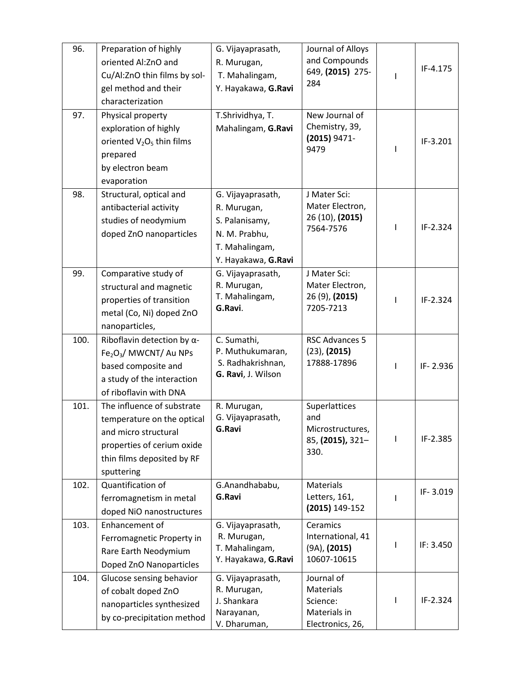| 96.  | Preparation of highly                             | G. Vijayaprasath,         | Journal of Alloys        |   |           |
|------|---------------------------------------------------|---------------------------|--------------------------|---|-----------|
|      | oriented Al:ZnO and                               | R. Murugan,               | and Compounds            |   |           |
|      | Cu/Al:ZnO thin films by sol-                      | T. Mahalingam,            | 649, (2015) 275-         | L | IF-4.175  |
|      | gel method and their                              | Y. Hayakawa, G.Ravi       | 284                      |   |           |
|      | characterization                                  |                           |                          |   |           |
| 97.  | Physical property                                 | T.Shrividhya, T.          | New Journal of           |   |           |
|      | exploration of highly                             | Mahalingam, G.Ravi        | Chemistry, 39,           |   |           |
|      | oriented V <sub>2</sub> O <sub>5</sub> thin films |                           | $(2015) 9471 -$          |   | IF-3.201  |
|      | prepared                                          |                           | 9479                     |   |           |
|      | by electron beam                                  |                           |                          |   |           |
|      | evaporation                                       |                           |                          |   |           |
| 98.  | Structural, optical and                           | G. Vijayaprasath,         | J Mater Sci:             |   |           |
|      | antibacterial activity                            | R. Murugan,               | Mater Electron,          |   |           |
|      | studies of neodymium                              | S. Palanisamy,            | 26 (10), (2015)          |   |           |
|      | doped ZnO nanoparticles                           | N. M. Prabhu,             | 7564-7576                | L | IF-2.324  |
|      |                                                   | T. Mahalingam,            |                          |   |           |
|      |                                                   | Y. Hayakawa, G.Ravi       |                          |   |           |
| 99.  | Comparative study of                              | G. Vijayaprasath,         | J Mater Sci:             |   |           |
|      | structural and magnetic                           | R. Murugan,               | Mater Electron,          |   |           |
|      | properties of transition                          | T. Mahalingam,            | 26 (9), (2015)           | T | IF-2.324  |
|      | metal (Co, Ni) doped ZnO                          | G.Ravi.                   | 7205-7213                |   |           |
|      | nanoparticles,                                    |                           |                          |   |           |
| 100. | Riboflavin detection by $\alpha$ -                | C. Sumathi,               | <b>RSC Advances 5</b>    |   |           |
|      | Fe <sub>2</sub> O <sub>3</sub> / MWCNT/ Au NPs    | P. Muthukumaran,          | $(23)$ , $(2015)$        |   |           |
|      | based composite and                               | S. Radhakrishnan,         | 17888-17896              | L | IF-2.936  |
|      | a study of the interaction                        | G. Ravi, J. Wilson        |                          |   |           |
|      |                                                   |                           |                          |   |           |
|      | of riboflavin with DNA                            |                           |                          |   |           |
| 101. | The influence of substrate                        | R. Murugan,               | Superlattices            |   |           |
|      | temperature on the optical                        | G. Vijayaprasath,         | and                      |   |           |
|      | and micro structural                              | G.Ravi                    | Microstructures,         |   |           |
|      | properties of cerium oxide                        |                           | 85, (2015), 321-         |   | IF-2.385  |
|      | thin films deposited by RF                        |                           | 330.                     |   |           |
|      | sputtering                                        |                           |                          |   |           |
| 102. | Quantification of                                 | G.Anandhababu,            | <b>Materials</b>         |   |           |
|      | ferromagnetism in metal                           | G.Ravi                    | Letters, 161,            |   | IF-3.019  |
|      | doped NiO nanostructures                          |                           | (2015) 149-152           |   |           |
| 103. | Enhancement of                                    | G. Vijayaprasath,         | Ceramics                 |   |           |
|      | Ferromagnetic Property in                         | R. Murugan,               | International, 41        |   |           |
|      | Rare Earth Neodymium                              | T. Mahalingam,            | $(9A)$ , $(2015)$        |   | IF: 3.450 |
|      | Doped ZnO Nanoparticles                           | Y. Hayakawa, G.Ravi       | 10607-10615              |   |           |
| 104. | Glucose sensing behavior                          | G. Vijayaprasath,         | Journal of               |   |           |
|      | of cobalt doped ZnO                               | R. Murugan,               | Materials                |   |           |
|      | nanoparticles synthesized                         | J. Shankara<br>Narayanan, | Science:<br>Materials in | L | IF-2.324  |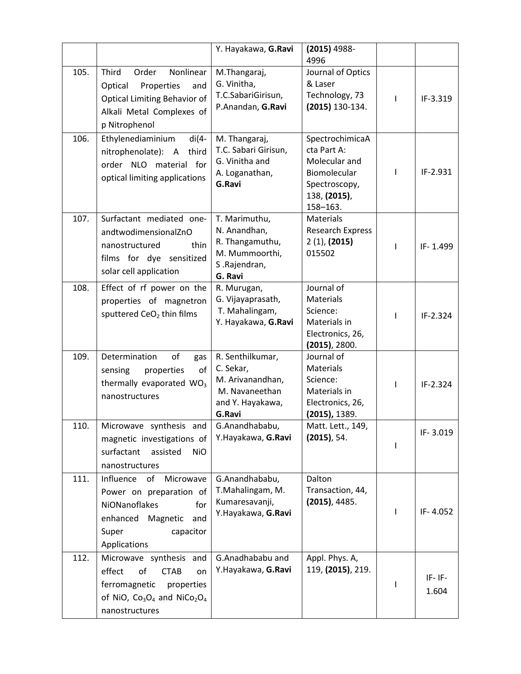|      |                                                                                                                                                                         | Y. Hayakawa, G.Ravi                                                                               | $(2015)$ 4988-<br>4996                                                                                       |              |                      |
|------|-------------------------------------------------------------------------------------------------------------------------------------------------------------------------|---------------------------------------------------------------------------------------------------|--------------------------------------------------------------------------------------------------------------|--------------|----------------------|
| 105. | Nonlinear<br>Third<br>Order<br>Properties<br>Optical<br>and<br><b>Optical Limiting Behavior of</b><br>Alkali Metal Complexes of<br>p Nitrophenol                        | M.Thangaraj,<br>G. Vinitha,<br>T.C.SabariGirisun,<br>P.Anandan, G.Ravi                            | Journal of Optics<br>& Laser<br>Technology, 73<br>(2015) 130-134.                                            | т            | IF-3.319             |
| 106. | Ethylenediaminium<br>$di(4-$<br>nitrophenolate): A<br>third<br>order NLO material for<br>optical limiting applications                                                  | M. Thangaraj,<br>T.C. Sabari Girisun,<br>G. Vinitha and<br>A. Loganathan,<br>G.Ravi               | SpectrochimicaA<br>cta Part A:<br>Molecular and<br>Biomolecular<br>Spectroscopy,<br>138, (2015),<br>158-163. | L            | IF-2.931             |
| 107. | Surfactant mediated one-<br>andtwodimensionalZnO<br>nanostructured<br>thin<br>films for dye sensitized<br>solar cell application                                        | T. Marimuthu,<br>N. Anandhan,<br>R. Thangamuthu,<br>M. Mummoorthi,<br>S.Rajendran,<br>G. Ravi     | <b>Materials</b><br><b>Research Express</b><br>2(1), (2015)<br>015502                                        | $\mathbf{I}$ | IF-1.499             |
| 108. | Effect of rf power on the<br>properties of magnetron<br>sputtered CeO <sub>2</sub> thin films                                                                           | R. Murugan,<br>G. Vijayaprasath,<br>T. Mahalingam,<br>Y. Hayakawa, G.Ravi                         | Journal of<br><b>Materials</b><br>Science:<br>Materials in<br>Electronics, 26,<br>$(2015)$ , 2800.           |              | IF-2.324             |
| 109. | Determination<br>of<br>gas<br>of<br>properties<br>sensing<br>thermally evaporated WO <sub>3</sub><br>nanostructures                                                     | R. Senthilkumar,<br>C. Sekar,<br>M. Arivanandhan,<br>M. Navaneethan<br>and Y. Hayakawa,<br>G.Ravi | Journal of<br>Materials<br>Science:<br>Materials in<br>Electronics, 26,<br>(2015), 1389.                     | $\mathbf{I}$ | IF-2.324             |
| 110. | Microwave synthesis and<br>magnetic investigations of<br>surfactant<br>assisted<br><b>NiO</b><br>nanostructures                                                         | G.Anandhababu,<br>Y.Hayakawa, G.Ravi                                                              | Matt. Lett., 149,<br>$(2015)$ , 54.                                                                          |              | IF-3.019             |
| 111. | Influence<br>of Microwave<br>Power on preparation of<br>NiONanoflakes<br>for<br>Magnetic<br>enhanced<br>and<br>Super<br>capacitor<br>Applications                       | G.Anandhababu,<br>T.Mahalingam, M.<br>Kumaresavanji,<br>Y.Hayakawa, G.Ravi                        | Dalton<br>Transaction, 44,<br>$(2015)$ , 4485.                                                               | L            | IF-4.052             |
| 112. | Microwave synthesis and<br>effect<br>of<br><b>CTAB</b><br>on<br>ferromagnetic<br>properties<br>of NiO, $Co_3O_4$ and NiCo <sub>2</sub> O <sub>4</sub><br>nanostructures | G.Anadhababu and<br>Y.Hayakawa, G.Ravi                                                            | Appl. Phys. A,<br>119, (2015), 219.                                                                          |              | $IF - IF -$<br>1.604 |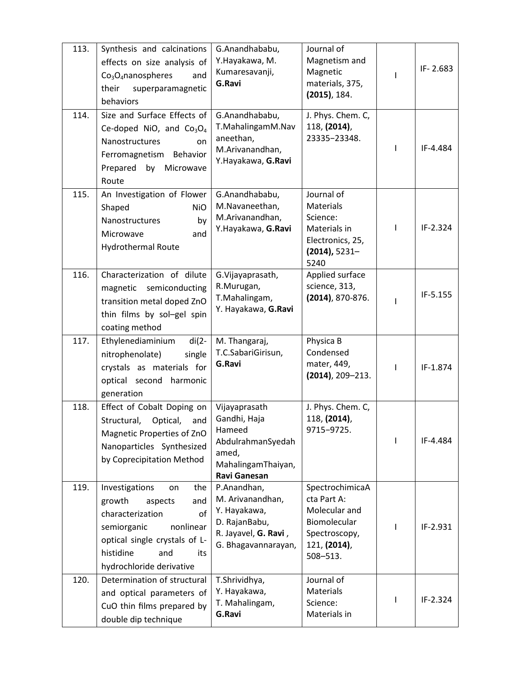| 113. | Synthesis and calcinations<br>effects on size analysis of<br>$Co3O4$ nanospheres<br>and<br>superparamagnetic<br>their<br>behaviors                                                                    | G.Anandhababu,<br>Y.Hayakawa, M.<br>Kumaresavanji,<br>G.Ravi                                                       | Journal of<br>Magnetism and<br>Magnetic<br>materials, 375,<br>$(2015)$ , 184.                                    |              | IF-2.683 |
|------|-------------------------------------------------------------------------------------------------------------------------------------------------------------------------------------------------------|--------------------------------------------------------------------------------------------------------------------|------------------------------------------------------------------------------------------------------------------|--------------|----------|
| 114. | Size and Surface Effects of<br>Ce-doped NiO, and $Co3O4$<br>Nanostructures<br>on<br>Ferromagnetism Behavior<br>Prepared by Microwave<br>Route                                                         | G.Anandhababu,<br>T.MahalingamM.Nav<br>aneethan,<br>M.Arivanandhan,<br>Y.Hayakawa, G.Ravi                          | J. Phys. Chem. C,<br>118, (2014),<br>23335-23348.                                                                | $\mathbf{I}$ | IF-4.484 |
| 115. | An Investigation of Flower<br>Shaped<br><b>NiO</b><br>by<br>Nanostructures<br>and<br>Microwave<br>Hydrothermal Route                                                                                  | G.Anandhababu,<br>M.Navaneethan,<br>M.Arivanandhan,<br>Y.Hayakawa, G.Ravi                                          | Journal of<br><b>Materials</b><br>Science:<br>Materials in<br>Electronics, 25,<br>$(2014)$ , 5231-<br>5240       | T            | IF-2.324 |
| 116. | Characterization of dilute<br>magnetic semiconducting<br>transition metal doped ZnO<br>thin films by sol-gel spin<br>coating method                                                                   | G.Vijayaprasath,<br>R.Murugan,<br>T.Mahalingam,<br>Y. Hayakawa, G.Ravi                                             | Applied surface<br>science, 313,<br>$(2014)$ , 870-876.                                                          |              | IF-5.155 |
| 117. | Ethylenediaminium<br>$di(2-$<br>single<br>nitrophenolate)<br>crystals as materials for<br>optical second<br>harmonic<br>generation                                                                    | M. Thangaraj,<br>T.C.SabariGirisun,<br>G.Ravi                                                                      | Physica B<br>Condensed<br>mater, 449,<br>$(2014)$ , 209-213.                                                     | T            | IF-1.874 |
| 118. | Effect of Cobalt Doping on<br>Optical,<br>and<br>Structural,<br>Magnetic Properties of ZnO<br>Nanoparticles Synthesized<br>by Coprecipitation Method                                                  | Vijayaprasath<br>Gandhi, Haja<br>Hameed<br>AbdulrahmanSyedah<br>amed,<br>MahalingamThaiyan,<br><b>Ravi Ganesan</b> | J. Phys. Chem. C,<br>118, (2014),<br>9715-9725.                                                                  |              | IF-4.484 |
| 119. | Investigations<br>the<br>on<br>growth<br>aspects<br>and<br>characterization<br>of<br>nonlinear<br>semiorganic<br>optical single crystals of L-<br>histidine<br>and<br>its<br>hydrochloride derivative | P.Anandhan,<br>M. Arivanandhan,<br>Y. Hayakawa,<br>D. RajanBabu,<br>R. Jayavel, G. Ravi,<br>G. Bhagavannarayan,    | SpectrochimicaA<br>cta Part A:<br>Molecular and<br>Biomolecular<br>Spectroscopy,<br>121, (2014),<br>$508 - 513.$ |              | IF-2.931 |
| 120. | Determination of structural<br>and optical parameters of<br>CuO thin films prepared by<br>double dip technique                                                                                        | T.Shrividhya,<br>Y. Hayakawa,<br>T. Mahalingam,<br>G.Ravi                                                          | Journal of<br>Materials<br>Science:<br>Materials in                                                              |              | IF-2.324 |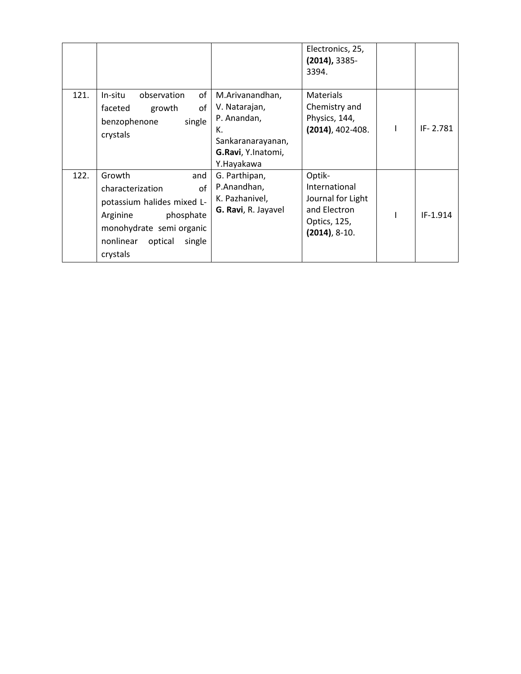|      |                                                                                                                                                                          |                                                                                                                | Electronics, 25,<br>$(2014)$ , 3385-<br>3394.                                                   |          |
|------|--------------------------------------------------------------------------------------------------------------------------------------------------------------------------|----------------------------------------------------------------------------------------------------------------|-------------------------------------------------------------------------------------------------|----------|
| 121. | of<br>In-situ<br>observation<br>οf<br>faceted<br>growth<br>single<br>benzophenone<br>crystals                                                                            | M.Arivanandhan,<br>V. Natarajan,<br>P. Anandan,<br>К.<br>Sankaranarayanan,<br>G.Ravi, Y.Inatomi,<br>Y.Hayakawa | Materials<br>Chemistry and<br>Physics, 144,<br>$(2014)$ , 402-408.                              | IF-2.781 |
| 122. | Growth<br>and<br>characterization<br>οf<br>potassium halides mixed L-<br>phosphate<br>Arginine<br>monohydrate semi organic<br>nonlinear<br>optical<br>single<br>crystals | G. Parthipan,<br>P.Anandhan,<br>K. Pazhanivel,<br>G. Ravi, R. Jayavel                                          | Optik-<br>International<br>Journal for Light<br>and Electron<br>Optics, 125,<br>$(2014), 8-10.$ | IF-1.914 |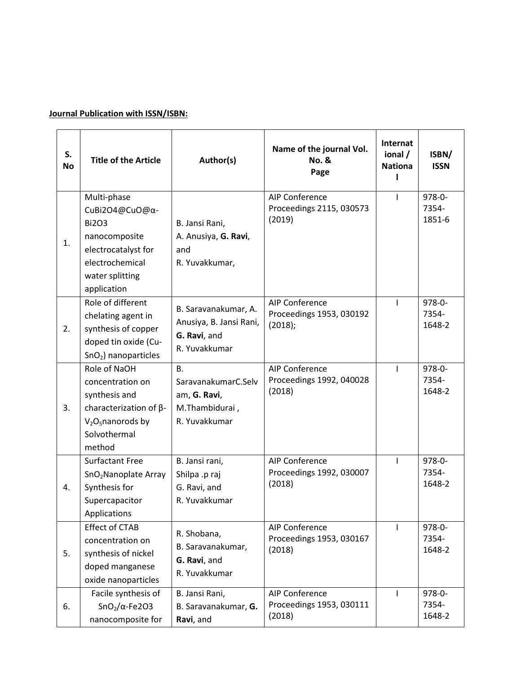# **Journal Publication with ISSN/ISBN:**

| S.<br><b>No</b> | <b>Title of the Article</b>                                                                                                                | Author(s)                                                                           | Name of the journal Vol.<br><b>No. &amp;</b><br>Page         | Internat<br>ional /<br><b>Nationa</b> | ISBN/<br><b>ISSN</b>           |
|-----------------|--------------------------------------------------------------------------------------------------------------------------------------------|-------------------------------------------------------------------------------------|--------------------------------------------------------------|---------------------------------------|--------------------------------|
| 1.              | Multi-phase<br>CuBi2O4@CuO@α-<br><b>Bi2O3</b><br>nanocomposite<br>electrocatalyst for<br>electrochemical<br>water splitting<br>application | B. Jansi Rani,<br>A. Anusiya, G. Ravi,<br>and<br>R. Yuvakkumar,                     | AIP Conference<br>Proceedings 2115, 030573<br>(2019)         | ı                                     | 978-0-<br>7354-<br>1851-6      |
| 2.              | Role of different<br>chelating agent in<br>synthesis of copper<br>doped tin oxide (Cu-<br>$SnO2$ ) nanoparticles                           | B. Saravanakumar, A.<br>Anusiya, B. Jansi Rani,<br>G. Ravi, and<br>R. Yuvakkumar    | <b>AIP Conference</b><br>Proceedings 1953, 030192<br>(2018); | $\mathbf{I}$                          | $978 - 0 -$<br>7354-<br>1648-2 |
| 3.              | Role of NaOH<br>concentration on<br>synthesis and<br>characterization of $\beta$ -<br>$V2O5$ nanorods by<br>Solvothermal<br>method         | <b>B.</b><br>SaravanakumarC.Selv<br>am, G. Ravi,<br>M.Thambidurai,<br>R. Yuvakkumar | <b>AIP Conference</b><br>Proceedings 1992, 040028<br>(2018)  | ı                                     | $978 - 0 -$<br>7354-<br>1648-2 |
| 4.              | <b>Surfactant Free</b><br>SnO <sub>2</sub> Nanoplate Array<br>Synthesis for<br>Supercapacitor<br>Applications                              | B. Jansi rani,<br>Shilpa .p raj<br>G. Ravi, and<br>R. Yuvakkumar                    | AIP Conference<br>Proceedings 1992, 030007<br>(2018)         | $\mathbf{I}$                          | $978 - 0 -$<br>7354-<br>1648-2 |
| 5.              | <b>Effect of CTAB</b><br>concentration on<br>synthesis of nickel<br>doped manganese<br>oxide nanoparticles                                 | R. Shobana,<br>B. Saravanakumar,<br>G. Ravi, and<br>R. Yuvakkumar                   | <b>AIP Conference</b><br>Proceedings 1953, 030167<br>(2018)  | $\mathbf{I}$                          | $978 - 0 -$<br>7354-<br>1648-2 |
| 6.              | Facile synthesis of<br>$SnO2/\alpha$ -Fe2O3<br>nanocomposite for                                                                           | B. Jansi Rani,<br>B. Saravanakumar, G.<br>Ravi, and                                 | AIP Conference<br>Proceedings 1953, 030111<br>(2018)         | ı                                     | $978 - 0 -$<br>7354-<br>1648-2 |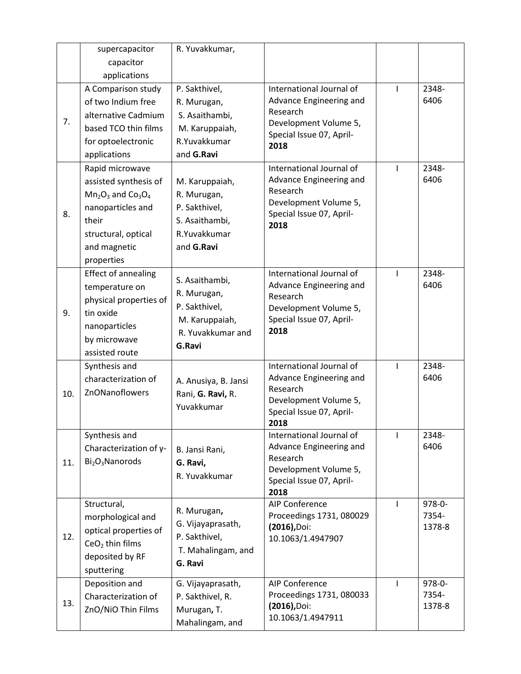|     | supercapacitor                          | R. Yuvakkumar,       |                                                   |              |        |
|-----|-----------------------------------------|----------------------|---------------------------------------------------|--------------|--------|
|     | capacitor                               |                      |                                                   |              |        |
|     | applications                            |                      |                                                   |              |        |
|     | A Comparison study                      | P. Sakthivel,        | International Journal of                          | ı            | 2348-  |
| 7.  | of two Indium free                      | R. Murugan,          | Advance Engineering and                           |              | 6406   |
|     | alternative Cadmium                     | S. Asaithambi,       | Research                                          |              |        |
|     | based TCO thin films                    | M. Karuppaiah,       | Development Volume 5,<br>Special Issue 07, April- |              |        |
|     | for optoelectronic                      | R.Yuvakkumar         | 2018                                              |              |        |
|     | applications                            | and G.Ravi           |                                                   |              |        |
|     | Rapid microwave                         |                      | International Journal of                          | $\mathbf{I}$ | 2348-  |
|     | assisted synthesis of                   | M. Karuppaiah,       | Advance Engineering and                           |              | 6406   |
|     | $Mn2O3$ and $Co3O4$                     | R. Murugan,          | Research                                          |              |        |
| 8.  | nanoparticles and                       | P. Sakthivel,        | Development Volume 5,<br>Special Issue 07, April- |              |        |
|     | their                                   | S. Asaithambi,       | 2018                                              |              |        |
|     | structural, optical                     | R.Yuvakkumar         |                                                   |              |        |
|     | and magnetic                            | and G.Ravi           |                                                   |              |        |
|     | properties                              |                      |                                                   |              |        |
|     | <b>Effect of annealing</b>              | S. Asaithambi,       | International Journal of                          | I            | 2348-  |
|     | temperature on                          | R. Murugan,          | Advance Engineering and                           |              | 6406   |
|     | physical properties of                  | P. Sakthivel,        | Research<br>Development Volume 5,                 |              |        |
| 9.  | tin oxide                               | M. Karuppaiah,       | Special Issue 07, April-                          |              |        |
|     | nanoparticles                           | R. Yuvakkumar and    | 2018                                              |              |        |
|     | by microwave                            | G.Ravi               |                                                   |              |        |
|     | assisted route                          |                      |                                                   |              |        |
|     | Synthesis and                           |                      | International Journal of                          | $\mathsf{I}$ | 2348-  |
|     | characterization of                     | A. Anusiya, B. Jansi | Advance Engineering and<br>Research               |              | 6406   |
| 10. | ZnONanoflowers                          | Rani, G. Ravi, R.    | Development Volume 5,                             |              |        |
|     |                                         | Yuvakkumar           | Special Issue 07, April-                          |              |        |
|     |                                         |                      | 2018                                              |              |        |
|     | Synthesis and                           |                      | International Journal of                          | $\mathbf{I}$ | 2348-  |
|     | Characterization of γ-                  | B. Jansi Rani,       | Advance Engineering and                           |              | 6406   |
| 11. | Bi <sub>2</sub> O <sub>3</sub> Nanorods | G. Ravi,             | Research                                          |              |        |
|     |                                         | R. Yuvakkumar        | Development Volume 5,<br>Special Issue 07, April- |              |        |
|     |                                         |                      | 2018                                              |              |        |
|     | Structural,                             |                      | <b>AIP Conference</b>                             | I            | 978-0- |
| 12. | morphological and                       | R. Murugan,          | Proceedings 1731, 080029                          |              | 7354-  |
|     | optical properties of                   | G. Vijayaprasath,    | $(2016)$ , Doi:                                   |              | 1378-8 |
|     | $CeO2$ thin films                       | P. Sakthivel,        | 10.1063/1.4947907                                 |              |        |
|     | deposited by RF                         | T. Mahalingam, and   |                                                   |              |        |
|     | sputtering                              | G. Ravi              |                                                   |              |        |
|     | Deposition and                          | G. Vijayaprasath,    | <b>AIP Conference</b>                             | $\mathbf{I}$ | 978-0- |
| 13. | Characterization of                     | P. Sakthivel, R.     | Proceedings 1731, 080033                          |              | 7354-  |
|     | ZnO/NiO Thin Films                      | Murugan, T.          | $(2016)$ , Doi:                                   |              | 1378-8 |
|     |                                         | Mahalingam, and      | 10.1063/1.4947911                                 |              |        |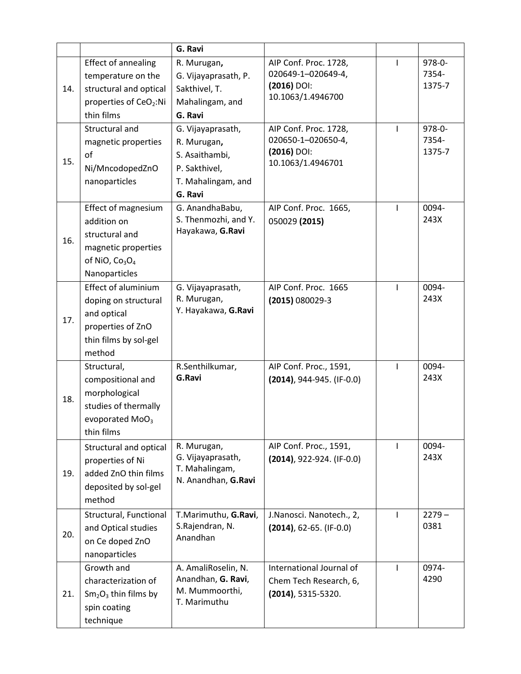|     |                                                                                                                                                  | G. Ravi                                                                                                 |                                                                                                            |              |                                     |
|-----|--------------------------------------------------------------------------------------------------------------------------------------------------|---------------------------------------------------------------------------------------------------------|------------------------------------------------------------------------------------------------------------|--------------|-------------------------------------|
| 14. | <b>Effect of annealing</b><br>temperature on the<br>structural and optical<br>properties of CeO <sub>2</sub> :Ni<br>thin films<br>Structural and | R. Murugan,<br>G. Vijayaprasath, P.<br>Sakthivel, T.<br>Mahalingam, and<br>G. Ravi<br>G. Vijayaprasath, | AIP Conf. Proc. 1728,<br>020649-1-020649-4,<br>$(2016)$ DOI:<br>10.1063/1.4946700<br>AIP Conf. Proc. 1728, | $\mathbf{I}$ | 978-0-<br>7354-<br>1375-7<br>978-0- |
| 15. | magnetic properties<br>of<br>Ni/MncodopedZnO<br>nanoparticles                                                                                    | R. Murugan,<br>S. Asaithambi,<br>P. Sakthivel,<br>T. Mahalingam, and<br>G. Ravi                         | 020650-1-020650-4,<br>$(2016)$ DOI:<br>10.1063/1.4946701                                                   |              | 7354-<br>1375-7                     |
| 16. | Effect of magnesium<br>addition on<br>structural and<br>magnetic properties<br>of NiO, $Co3O4$<br>Nanoparticles                                  | G. AnandhaBabu,<br>S. Thenmozhi, and Y.<br>Hayakawa, G.Ravi                                             | AIP Conf. Proc. 1665,<br>050029 (2015)                                                                     | $\mathbf{I}$ | 0094-<br>243X                       |
| 17. | <b>Effect of aluminium</b><br>doping on structural<br>and optical<br>properties of ZnO<br>thin films by sol-gel<br>method                        | G. Vijayaprasath,<br>R. Murugan,<br>Y. Hayakawa, G.Ravi                                                 | AIP Conf. Proc. 1665<br>$(2015) 080029 - 3$                                                                | $\mathbf{I}$ | 0094-<br>243X                       |
| 18. | Structural,<br>compositional and<br>morphological<br>studies of thermally<br>evoporated MoO <sub>3</sub><br>thin films                           | R.Senthilkumar,<br>G.Ravi                                                                               | AIP Conf. Proc., 1591,<br>$(2014)$ , 944-945. (IF-0.0)                                                     | $\mathbf{I}$ | 0094-<br>243X                       |
| 19. | Structural and optical<br>properties of Ni<br>added ZnO thin films<br>deposited by sol-gel<br>method                                             | R. Murugan,<br>G. Vijayaprasath,<br>T. Mahalingam,<br>N. Anandhan, G.Ravi                               | AIP Conf. Proc., 1591,<br>$(2014)$ , 922-924. (IF-0.0)                                                     | $\mathbf{I}$ | 0094-<br>243X                       |
| 20. | Structural, Functional<br>and Optical studies<br>on Ce doped ZnO<br>nanoparticles                                                                | T.Marimuthu, G.Ravi,<br>S.Rajendran, N.<br>Anandhan                                                     | J.Nanosci. Nanotech., 2,<br>$(2014)$ , 62-65. (IF-0.0)                                                     | $\mathbf{I}$ | $2279 -$<br>0381                    |
| 21. | Growth and<br>characterization of<br>$Sm2O3$ thin films by<br>spin coating<br>technique                                                          | A. AmaliRoselin, N.<br>Anandhan, G. Ravi,<br>M. Mummoorthi,<br>T. Marimuthu                             | International Journal of<br>Chem Tech Research, 6,<br>$(2014)$ , 5315-5320.                                | $\mathbf{I}$ | 0974-<br>4290                       |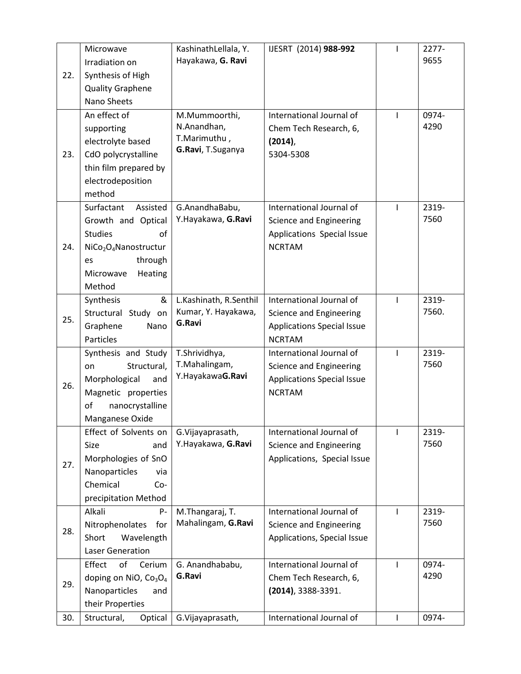| 22. | Microwave<br>Irradiation on<br>Synthesis of High<br><b>Quality Graphene</b><br>Nano Sheets                                                                               | KashinathLellala, Y.<br>Hayakawa, G. Ravi                         | IJESRT (2014) 988-992                                                                                     | $\mathbf{I}$   | 2277-<br>9655  |
|-----|--------------------------------------------------------------------------------------------------------------------------------------------------------------------------|-------------------------------------------------------------------|-----------------------------------------------------------------------------------------------------------|----------------|----------------|
| 23. | An effect of<br>supporting<br>electrolyte based<br>CdO polycrystalline<br>thin film prepared by<br>electrodeposition<br>method                                           | M.Mummoorthi,<br>N.Anandhan,<br>T.Marimuthu,<br>G.Ravi, T.Suganya | International Journal of<br>Chem Tech Research, 6,<br>$(2014)$ ,<br>5304-5308                             | I              | 0974-<br>4290  |
| 24. | Surfactant<br>Assisted<br>Growth and Optical<br><b>Studies</b><br>οf<br>NiCo <sub>2</sub> O <sub>4</sub> Nanostructur<br>through<br>es<br>Heating<br>Microwave<br>Method | G.AnandhaBabu,<br>Y.Hayakawa, G.Ravi                              | International Journal of<br>Science and Engineering<br>Applications Special Issue<br><b>NCRTAM</b>        | $\mathbf{I}$   | 2319-<br>7560  |
| 25. | &<br>Synthesis<br>Structural Study on<br>Graphene<br>Nano<br>Particles                                                                                                   | L.Kashinath, R.Senthil<br>Kumar, Y. Hayakawa,<br>G.Ravi           | International Journal of<br>Science and Engineering<br><b>Applications Special Issue</b><br><b>NCRTAM</b> | $\mathbf{I}$   | 2319-<br>7560. |
| 26. | Synthesis and Study<br>Structural,<br>on<br>Morphological<br>and<br>Magnetic properties<br>of<br>nanocrystalline<br>Manganese Oxide                                      | T.Shrividhya,<br>T.Mahalingam,<br>Y.HayakawaG.Ravi                | International Journal of<br>Science and Engineering<br><b>Applications Special Issue</b><br><b>NCRTAM</b> | $\overline{1}$ | 2319-<br>7560  |
| 27. | Effect of Solvents on<br>Size<br>and<br>Morphologies of SnO<br>Nanoparticles<br>via<br>Chemical<br>$Co-$<br>precipitation Method                                         | G.Vijayaprasath,<br>Y.Hayakawa, G.Ravi                            | International Journal of<br>Science and Engineering<br>Applications, Special Issue                        | I              | 2319-<br>7560  |
| 28. | Alkali<br>P-<br>Nitrophenolates<br>for<br>Short<br>Wavelength<br><b>Laser Generation</b>                                                                                 | M.Thangaraj, T.<br>Mahalingam, G.Ravi                             | International Journal of<br>Science and Engineering<br>Applications, Special Issue                        |                | 2319-<br>7560  |
| 29. | of<br>Effect<br>Cerium<br>doping on NiO, Co <sub>3</sub> O <sub>4</sub><br>Nanoparticles<br>and<br>their Properties                                                      | G. Anandhababu,<br>G.Ravi                                         | International Journal of<br>Chem Tech Research, 6,<br>$(2014)$ , 3388-3391.                               | I.             | 0974-<br>4290  |
| 30. | Structural,<br>Optical                                                                                                                                                   | G.Vijayaprasath,                                                  | International Journal of                                                                                  | $\mathbf{I}$   | 0974-          |